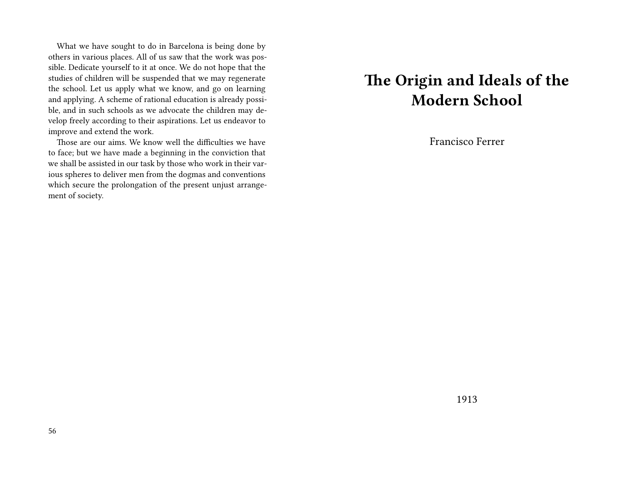What we have sought to do in Barcelona is being done by others in various places. All of us saw that the work was possible. Dedicate yourself to it at once. We do not hope that the studies of children will be suspended that we may regenerate the school. Let us apply what we know, and go on learning and applying. A scheme of rational education is already possible, and in such schools as we advocate the children may develop freely according to their aspirations. Let us endeavor to improve and extend the work.

Those are our aims. We know well the difficulties we have to face; but we have made a beginning in the conviction that we shall be assisted in our task by those who work in their various spheres to deliver men from the dogmas and conventions which secure the prolongation of the present unjust arrangement of society.

#### **The Origin and Ideals of the Modern School**

Francisco Ferrer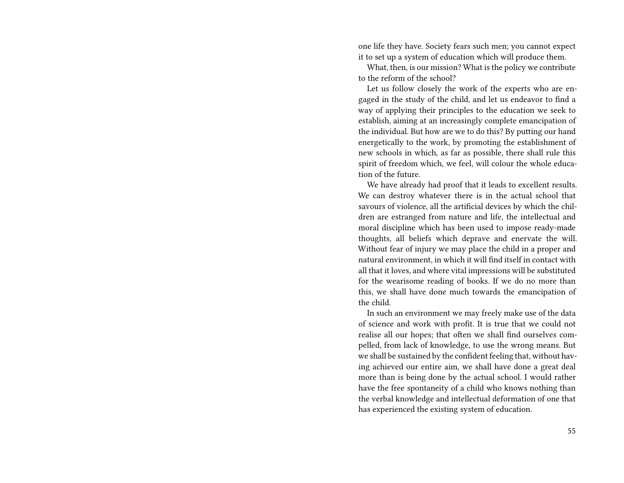one life they have. Society fears such men; you cannot expect it to set up a system of education which will produce them.

What, then, is our mission? What is the policy we contribute to the reform of the school?

Let us follow closely the work of the experts who are engaged in the study of the child, and let us endeavor to find a way of applying their principles to the education we seek to establish, aiming at an increasingly complete emancipation of the individual. But how are we to do this? By putting our hand energetically to the work, by promoting the establishment of new schools in which, as far as possible, there shall rule this spirit of freedom which, we feel, will colour the whole education of the future.

We have already had proof that it leads to excellent results. We can destroy whatever there is in the actual school that savours of violence, all the artificial devices by which the children are estranged from nature and life, the intellectual and moral discipline which has been used to impose ready-made thoughts, all beliefs which deprave and enervate the will. Without fear of injury we may place the child in a proper and natural environment, in which it will find itself in contact with all that it loves, and where vital impressions will be substituted for the wearisome reading of books. If we do no more than this, we shall have done much towards the emancipation of the child.

In such an environment we may freely make use of the data of science and work with profit. It is true that we could not realise all our hopes; that often we shall find ourselves compelled, from lack of knowledge, to use the wrong means. But we shall be sustained by the confident feeling that, without having achieved our entire aim, we shall have done a great deal more than is being done by the actual school. I would rather have the free spontaneity of a child who knows nothing than the verbal knowledge and intellectual deformation of one that has experienced the existing system of education.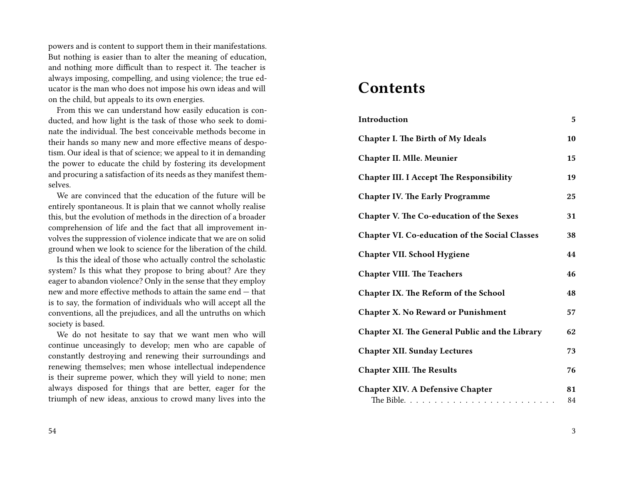powers and is content to support them in their manifestations. But nothing is easier than to alter the meaning of education, and nothing more difficult than to respect it. The teacher is always imposing, compelling, and using violence; the true educator is the man who does not impose his own ideas and will on the child, but appeals to its own energies.

From this we can understand how easily education is conducted, and how light is the task of those who seek to dominate the individual. The best conceivable methods become in their hands so many new and more effective means of despotism. Our ideal is that of science; we appeal to it in demanding the power to educate the child by fostering its development and procuring a satisfaction of its needs as they manifest themselves.

We are convinced that the education of the future will be entirely spontaneous. It is plain that we cannot wholly realise this, but the evolution of methods in the direction of a broader comprehension of life and the fact that all improvement involves the suppression of violence indicate that we are on solid ground when we look to science for the liberation of the child.

Is this the ideal of those who actually control the scholastic system? Is this what they propose to bring about? Are they eager to abandon violence? Only in the sense that they employ new and more effective methods to attain the same end — that is to say, the formation of individuals who will accept all the conventions, all the prejudices, and all the untruths on which society is based.

We do not hesitate to say that we want men who will continue unceasingly to develop; men who are capable of constantly destroying and renewing their surroundings and renewing themselves; men whose intellectual independence is their supreme power, which they will yield to none; men always disposed for things that are better, eager for the triumph of new ideas, anxious to crowd many lives into the

#### **Contents**

| Introduction                                          | 5  |
|-------------------------------------------------------|----|
| Chapter I. The Birth of My Ideals                     | 10 |
| <b>Chapter II. Mlle. Meunier</b>                      | 15 |
| <b>Chapter III. I Accept The Responsibility</b>       | 19 |
| <b>Chapter IV. The Early Programme</b>                | 25 |
| Chapter V. The Co-education of the Sexes              | 31 |
| <b>Chapter VI. Co-education of the Social Classes</b> | 38 |
| <b>Chapter VII. School Hygiene</b>                    | 44 |
| <b>Chapter VIII. The Teachers</b>                     | 46 |
| Chapter IX. The Reform of the School                  | 48 |
| <b>Chapter X. No Reward or Punishment</b>             | 57 |
| Chapter XI. The General Public and the Library        | 62 |
| <b>Chapter XII. Sunday Lectures</b>                   | 73 |
| <b>Chapter XIII. The Results</b>                      | 76 |
| <b>Chapter XIV. A Defensive Chapter</b>               | 81 |
|                                                       | 84 |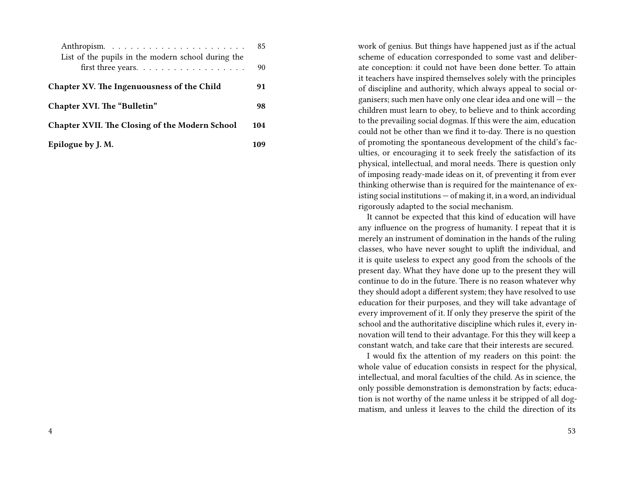|                                                                          | 85  |
|--------------------------------------------------------------------------|-----|
| List of the pupils in the modern school during the<br>first three years. | 90  |
|                                                                          |     |
| Chapter XV. The Ingenuousness of the Child                               | 91  |
| Chapter XVI. The "Bulletin"                                              | 98  |
| <b>Chapter XVII. The Closing of the Modern School</b>                    | 104 |
| Epilogue by J. M.                                                        | 109 |

work of genius. But things have happened just as if the actual scheme of education corresponded to some vast and deliberate conception: it could not have been done better. To attain it teachers have inspired themselves solely with the principles of discipline and authority, which always appeal to social organisers; such men have only one clear idea and one will — the children must learn to obey, to believe and to think according to the prevailing social dogmas. If this were the aim, education could not be other than we find it to-day. There is no question of promoting the spontaneous development of the child's faculties, or encouraging it to seek freely the satisfaction of its physical, intellectual, and moral needs. There is question only of imposing ready-made ideas on it, of preventing it from ever thinking otherwise than is required for the maintenance of existing social institutions — of making it, in a word, an individual rigorously adapted to the social mechanism.

It cannot be expected that this kind of education will have any influence on the progress of humanity. I repeat that it is merely an instrument of domination in the hands of the ruling classes, who have never sought to uplift the individual, and it is quite useless to expect any good from the schools of the present day. What they have done up to the present they will continue to do in the future. There is no reason whatever why they should adopt a different system; they have resolved to use education for their purposes, and they will take advantage of every improvement of it. If only they preserve the spirit of the school and the authoritative discipline which rules it, every innovation will tend to their advantage. For this they will keep a constant watch, and take care that their interests are secured.

I would fix the attention of my readers on this point: the whole value of education consists in respect for the physical, intellectual, and moral faculties of the child. As in science, the only possible demonstration is demonstration by facts; education is not worthy of the name unless it be stripped of all dogmatism, and unless it leaves to the child the direction of its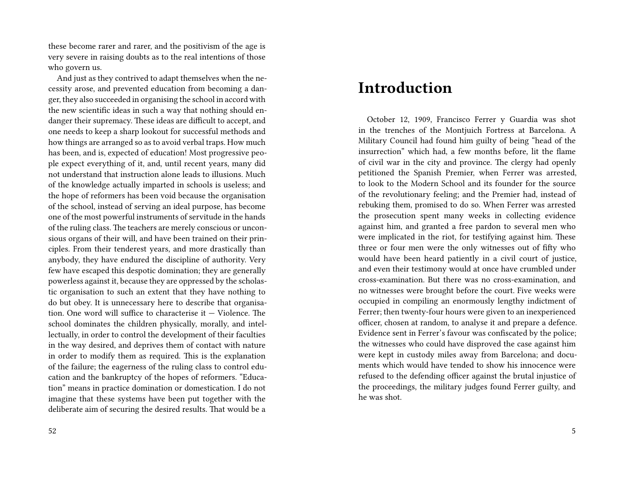these become rarer and rarer, and the positivism of the age is very severe in raising doubts as to the real intentions of those who govern us.

And just as they contrived to adapt themselves when the necessity arose, and prevented education from becoming a danger, they also succeeded in organising the school in accord with the new scientific ideas in such a way that nothing should endanger their supremacy. These ideas are difficult to accept, and one needs to keep a sharp lookout for successful methods and how things are arranged so as to avoid verbal traps. How much has been, and is, expected of education! Most progressive people expect everything of it, and, until recent years, many did not understand that instruction alone leads to illusions. Much of the knowledge actually imparted in schools is useless; and the hope of reformers has been void because the organisation of the school, instead of serving an ideal purpose, has become one of the most powerful instruments of servitude in the hands of the ruling class. The teachers are merely conscious or unconsious organs of their will, and have been trained on their principles. From their tenderest years, and more drastically than anybody, they have endured the discipline of authority. Very few have escaped this despotic domination; they are generally powerless against it, because they are oppressed by the scholastic organisation to such an extent that they have nothing to do but obey. It is unnecessary here to describe that organisation. One word will suffice to characterise it — Violence. The school dominates the children physically, morally, and intellectually, in order to control the development of their faculties in the way desired, and deprives them of contact with nature in order to modify them as required. This is the explanation of the failure; the eagerness of the ruling class to control education and the bankruptcy of the hopes of reformers. "Education" means in practice domination or domestication. I do not imagine that these systems have been put together with the deliberate aim of securing the desired results. That would be a

#### **Introduction**

October 12, 1909, Francisco Ferrer y Guardia was shot in the trenches of the Montjuich Fortress at Barcelona. A Military Council had found him guilty of being "head of the insurrection" which had, a few months before, lit the flame of civil war in the city and province. The clergy had openly petitioned the Spanish Premier, when Ferrer was arrested, to look to the Modern School and its founder for the source of the revolutionary feeling; and the Premier had, instead of rebuking them, promised to do so. When Ferrer was arrested the prosecution spent many weeks in collecting evidence against him, and granted a free pardon to several men who were implicated in the riot, for testifying against him. These three or four men were the only witnesses out of fifty who would have been heard patiently in a civil court of justice, and even their testimony would at once have crumbled under cross-examination. But there was no cross-examination, and no witnesses were brought before the court. Five weeks were occupied in compiling an enormously lengthy indictment of Ferrer; then twenty-four hours were given to an inexperienced officer, chosen at random, to analyse it and prepare a defence. Evidence sent in Ferrer's favour was confiscated by the police; the witnesses who could have disproved the case against him were kept in custody miles away from Barcelona; and documents which would have tended to show his innocence were refused to the defending officer against the brutal injustice of the proceedings, the military judges found Ferrer guilty, and he was shot.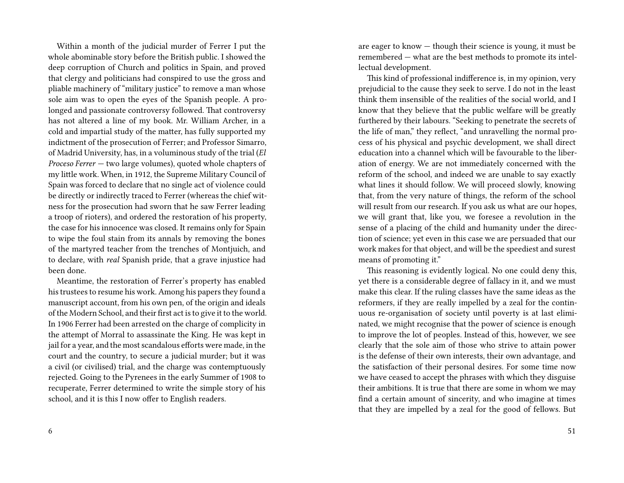Within a month of the judicial murder of Ferrer I put the whole abominable story before the British public. I showed the deep corruption of Church and politics in Spain, and proved that clergy and politicians had conspired to use the gross and pliable machinery of "military justice" to remove a man whose sole aim was to open the eyes of the Spanish people. A prolonged and passionate controversy followed. That controversy has not altered a line of my book. Mr. William Archer, in a cold and impartial study of the matter, has fully supported my indictment of the prosecution of Ferrer; and Professor Simarro, of Madrid University, has, in a voluminous study of the trial (*El Proceso Ferrer* — two large volumes), quoted whole chapters of my little work. When, in 1912, the Supreme Military Council of Spain was forced to declare that no single act of violence could be directly or indirectly traced to Ferrer (whereas the chief witness for the prosecution had sworn that he saw Ferrer leading a troop of rioters), and ordered the restoration of his property, the case for his innocence was closed. It remains only for Spain to wipe the foul stain from its annals by removing the bones of the martyred teacher from the trenches of Montjuich, and to declare, with *real* Spanish pride, that a grave injustice had been done.

Meantime, the restoration of Ferrer's property has enabled his trustees to resume his work. Among his papers they found a manuscript account, from his own pen, of the origin and ideals of the Modern School, and their first act is to give it to the world. In 1906 Ferrer had been arrested on the charge of complicity in the attempt of Morral to assassinate the King. He was kept in jail for a year, and the most scandalous efforts were made, in the court and the country, to secure a judicial murder; but it was a civil (or civilised) trial, and the charge was contemptuously rejected. Going to the Pyrenees in the early Summer of 1908 to recuperate, Ferrer determined to write the simple story of his school, and it is this I now offer to English readers.

6

are eager to know — though their science is young, it must be remembered — what are the best methods to promote its intellectual development.

This kind of professional indifference is, in my opinion, very prejudicial to the cause they seek to serve. I do not in the least think them insensible of the realities of the social world, and I know that they believe that the public welfare will be greatly furthered by their labours. "Seeking to penetrate the secrets of the life of man," they reflect, "and unravelling the normal process of his physical and psychic development, we shall direct education into a channel which will be favourable to the liberation of energy. We are not immediately concerned with the reform of the school, and indeed we are unable to say exactly what lines it should follow. We will proceed slowly, knowing that, from the very nature of things, the reform of the school will result from our research. If you ask us what are our hopes, we will grant that, like you, we foresee a revolution in the sense of a placing of the child and humanity under the direction of science; yet even in this case we are persuaded that our work makes for that object, and will be the speediest and surest means of promoting it."

This reasoning is evidently logical. No one could deny this, yet there is a considerable degree of fallacy in it, and we must make this clear. If the ruling classes have the same ideas as the reformers, if they are really impelled by a zeal for the continuous re-organisation of society until poverty is at last eliminated, we might recognise that the power of science is enough to improve the lot of peoples. Instead of this, however, we see clearly that the sole aim of those who strive to attain power is the defense of their own interests, their own advantage, and the satisfaction of their personal desires. For some time now we have ceased to accept the phrases with which they disguise their ambitions. It is true that there are some in whom we may find a certain amount of sincerity, and who imagine at times that they are impelled by a zeal for the good of fellows. But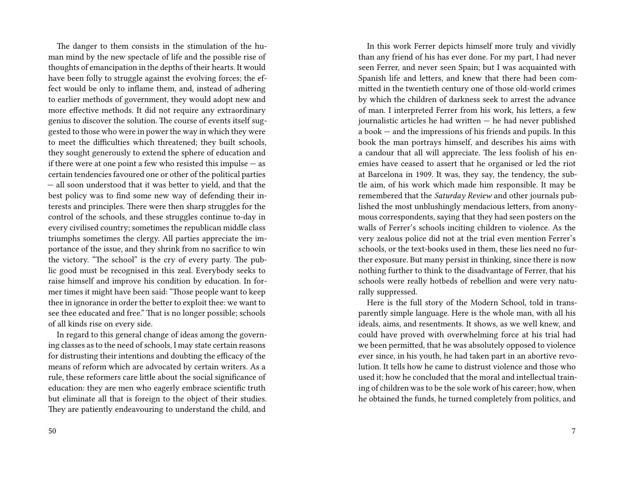The danger to them consists in the stimulation of the human mind by the new spectacle of life and the possible rise of thoughts of emancipation in the depths of their hearts. It would have been folly to struggle against the evolving forces; the effect would be only to inflame them, and, instead of adhering to earlier methods of government, they would adopt new and more effective methods. It did not require any extraordinary genius to discover the solution. The course of events itself suggested to those who were in power the way in which they were to meet the difficulties which threatened; they built schools, they sought generously to extend the sphere of education and if there were at one point a few who resisted this impulse — as certain tendencies favoured one or other of the political parties — all soon understood that it was better to yield, and that the best policy was to find some new way of defending their interests and principles. There were then sharp struggles for the control of the schools, and these struggles continue to-day in every civilised country; sometimes the republican middle class triumphs sometimes the clergy. All parties appreciate the importance of the issue, and they shrink from no sacrifice to win the victory. "The school" is the cry of every party. The public good must be recognised in this zeal. Everybody seeks to raise himself and improve his condition by education. In former times it might have been said: "Those people want to keep thee in ignorance in order the better to exploit thee: we want to see thee educated and free." That is no longer possible; schools of all kinds rise on every side.

In regard to this general change of ideas among the governing classes as to the need of schools, I may state certain reasons for distrusting their intentions and doubting the efficacy of the means of reform which are advocated by certain writers. As a rule, these reformers care little about the social significance of education: they are men who eagerly embrace scientific truth but eliminate all that is foreign to the object of their studies. They are patiently endeavouring to understand the child, and

In this work Ferrer depicts himself more truly and vividly than any friend of his has ever done. For my part, I had never seen Ferrer, and never seen Spain; but I was acquainted with Spanish life and letters, and knew that there had been committed in the twentieth century one of those old-world crimes by which the children of darkness seek to arrest the advance of man. I interpreted Ferrer from his work, his letters, a few journalistic articles he had written — he had never published a book — and the impressions of his friends and pupils. In this book the man portrays himself, and describes his aims with a candour that all will appreciate. The less foolish of his enemies have ceased to assert that he organised or led the riot at Barcelona in 1909. It was, they say, the tendency, the subtle aim, of his work which made him responsible. It may be remembered that the *Saturday Review* and other journals published the most unblushingly mendacious letters, from anonymous correspondents, saying that they had seen posters on the walls of Ferrer's schools inciting children to violence. As the very zealous police did not at the trial even mention Ferrer's schools, or the text-books used in them, these lies need no further exposure. But many persist in thinking, since there is now nothing further to think to the disadvantage of Ferrer, that his schools were really hotbeds of rebellion and were very naturally suppressed.

Here is the full story of the Modern School, told in transparently simple language. Here is the whole man, with all his ideals, aims, and resentments. It shows, as we well knew, and could have proved with overwhelming force at his trial had we been permitted, that he was absolutely opposed to violence ever since, in his youth, he had taken part in an abortive revolution. It tells how he came to distrust violence and those who used it; how he concluded that the moral and intellectual training of children was to be the sole work of his career; how, when he obtained the funds, he turned completely from politics, and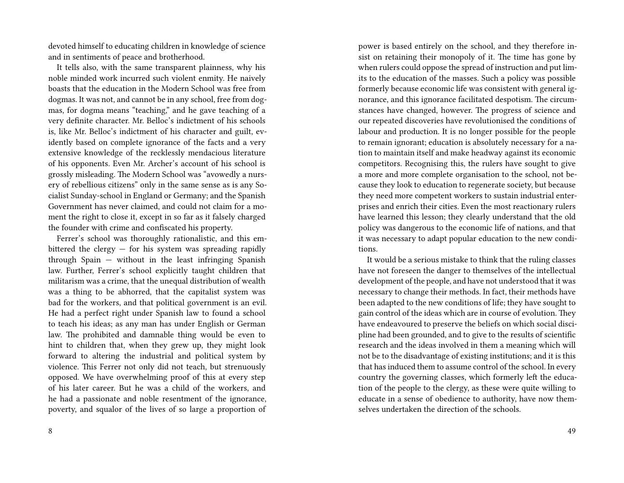devoted himself to educating children in knowledge of science and in sentiments of peace and brotherhood.

It tells also, with the same transparent plainness, why his noble minded work incurred such violent enmity. He naively boasts that the education in the Modern School was free from dogmas. It was not, and cannot be in any school, free from dogmas, for dogma means "teaching," and he gave teaching of a very definite character. Mr. Belloc's indictment of his schools is, like Mr. Belloc's indictment of his character and guilt, evidently based on complete ignorance of the facts and a very extensive knowledge of the recklessly mendacious literature of his opponents. Even Mr. Archer's account of his school is grossly misleading. The Modern School was "avowedly a nursery of rebellious citizens" only in the same sense as is any Socialist Sunday-school in England or Germany; and the Spanish Government has never claimed, and could not claim for a moment the right to close it, except in so far as it falsely charged the founder with crime and confiscated his property.

Ferrer's school was thoroughly rationalistic, and this embittered the clergy — for his system was spreading rapidly through Spain — without in the least infringing Spanish law. Further, Ferrer's school explicitly taught children that militarism was a crime, that the unequal distribution of wealth was a thing to be abhorred, that the capitalist system was bad for the workers, and that political government is an evil. He had a perfect right under Spanish law to found a school to teach his ideas; as any man has under English or German law. The prohibited and damnable thing would be even to hint to children that, when they grew up, they might look forward to altering the industrial and political system by violence. This Ferrer not only did not teach, but strenuously opposed. We have overwhelming proof of this at every step of his later career. But he was a child of the workers, and he had a passionate and noble resentment of the ignorance, poverty, and squalor of the lives of so large a proportion of

power is based entirely on the school, and they therefore insist on retaining their monopoly of it. The time has gone by when rulers could oppose the spread of instruction and put limits to the education of the masses. Such a policy was possible formerly because economic life was consistent with general ignorance, and this ignorance facilitated despotism. The circumstances have changed, however. The progress of science and our repeated discoveries have revolutionised the conditions of labour and production. It is no longer possible for the people to remain ignorant; education is absolutely necessary for a nation to maintain itself and make headway against its economic competitors. Recognising this, the rulers have sought to give a more and more complete organisation to the school, not because they look to education to regenerate society, but because they need more competent workers to sustain industrial enterprises and enrich their cities. Even the most reactionary rulers have learned this lesson; they clearly understand that the old policy was dangerous to the economic life of nations, and that it was necessary to adapt popular education to the new conditions.

It would be a serious mistake to think that the ruling classes have not foreseen the danger to themselves of the intellectual development of the people, and have not understood that it was necessary to change their methods. In fact, their methods have been adapted to the new conditions of life; they have sought to gain control of the ideas which are in course of evolution. They have endeavoured to preserve the beliefs on which social discipline had been grounded, and to give to the results of scientific research and the ideas involved in them a meaning which will not be to the disadvantage of existing institutions; and it is this that has induced them to assume control of the school. In every country the governing classes, which formerly left the education of the people to the clergy, as these were quite willing to educate in a sense of obedience to authority, have now themselves undertaken the direction of the schools.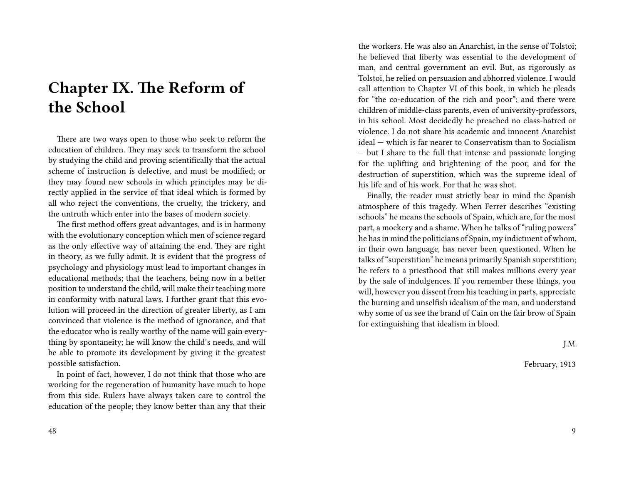## **Chapter IX. The Reform of the School**

There are two ways open to those who seek to reform the education of children. They may seek to transform the school by studying the child and proving scientifically that the actual scheme of instruction is defective, and must be modified; or they may found new schools in which principles may be directly applied in the service of that ideal which is formed by all who reject the conventions, the cruelty, the trickery, and the untruth which enter into the bases of modern society.

The first method offers great advantages, and is in harmony with the evolutionary conception which men of science regard as the only effective way of attaining the end. They are right in theory, as we fully admit. It is evident that the progress of psychology and physiology must lead to important changes in educational methods; that the teachers, being now in a better position to understand the child, will make their teaching more in conformity with natural laws. I further grant that this evolution will proceed in the direction of greater liberty, as I am convinced that violence is the method of ignorance, and that the educator who is really worthy of the name will gain everything by spontaneity; he will know the child's needs, and will be able to promote its development by giving it the greatest possible satisfaction.

In point of fact, however, I do not think that those who are working for the regeneration of humanity have much to hope from this side. Rulers have always taken care to control the education of the people; they know better than any that their the workers. He was also an Anarchist, in the sense of Tolstoi; he believed that liberty was essential to the development of man, and central government an evil. But, as rigorously as Tolstoi, he relied on persuasion and abhorred violence. I would call attention to Chapter VI of this book, in which he pleads for "the co-education of the rich and poor"; and there were children of middle-class parents, even of university-professors, in his school. Most decidedly he preached no class-hatred or violence. I do not share his academic and innocent Anarchist ideal — which is far nearer to Conservatism than to Socialism — but I share to the full that intense and passionate longing for the uplifting and brightening of the poor, and for the destruction of superstition, which was the supreme ideal of his life and of his work. For that he was shot.

Finally, the reader must strictly bear in mind the Spanish atmosphere of this tragedy. When Ferrer describes "existing schools" he means the schools of Spain, which are, for the most part, a mockery and a shame. When he talks of "ruling powers" he has in mind the politicians of Spain, my indictment of whom, in their own language, has never been questioned. When he talks of "superstition" he means primarily Spanish superstition; he refers to a priesthood that still makes millions every year by the sale of indulgences. If you remember these things, you will, however you dissent from his teaching in parts, appreciate the burning and unselfish idealism of the man, and understand why some of us see the brand of Cain on the fair brow of Spain for extinguishing that idealism in blood.

J.M.

February, 1913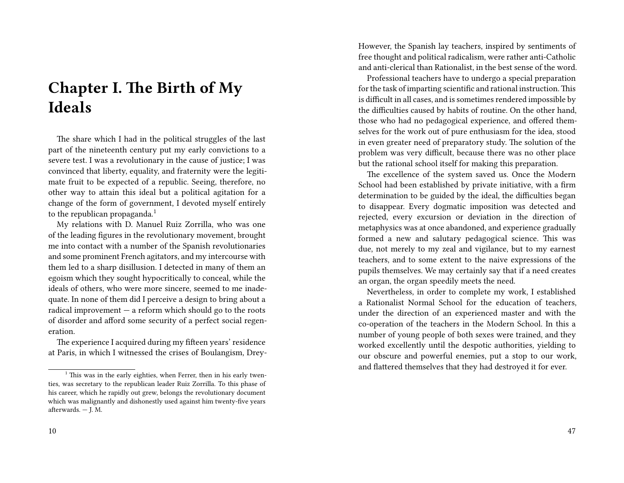## **Chapter I. The Birth of My Ideals**

The share which I had in the political struggles of the last part of the nineteenth century put my early convictions to a severe test. I was a revolutionary in the cause of justice; I was convinced that liberty, equality, and fraternity were the legitimate fruit to be expected of a republic. Seeing, therefore, no other way to attain this ideal but a political agitation for a change of the form of government, I devoted myself entirely to the republican propaganda.<sup>1</sup>

My relations with D. Manuel Ruiz Zorrilla, who was one of the leading figures in the revolutionary movement, brought me into contact with a number of the Spanish revolutionaries and some prominent French agitators, and my intercourse with them led to a sharp disillusion. I detected in many of them an egoism which they sought hypocritically to conceal, while the ideals of others, who were more sincere, seemed to me inadequate. In none of them did I perceive a design to bring about a radical improvement  $-$  a reform which should go to the roots of disorder and afford some security of a perfect social regeneration.

The experience I acquired during my fifteen years' residence at Paris, in which I witnessed the crises of Boulangism, DreyHowever, the Spanish lay teachers, inspired by sentiments of free thought and political radicalism, were rather anti-Catholic and anti-clerical than Rationalist, in the best sense of the word.

Professional teachers have to undergo a special preparation for the task of imparting scientific and rational instruction.This is difficult in all cases, and is sometimes rendered impossible by the difficulties caused by habits of routine. On the other hand, those who had no pedagogical experience, and offered themselves for the work out of pure enthusiasm for the idea, stood in even greater need of preparatory study. The solution of the problem was very difficult, because there was no other place but the rational school itself for making this preparation.

The excellence of the system saved us. Once the Modern School had been established by private initiative, with a firm determination to be guided by the ideal, the difficulties began to disappear. Every dogmatic imposition was detected and rejected, every excursion or deviation in the direction of metaphysics was at once abandoned, and experience gradually formed a new and salutary pedagogical science. This was due, not merely to my zeal and vigilance, but to my earnest teachers, and to some extent to the naive expressions of the pupils themselves. We may certainly say that if a need creates an organ, the organ speedily meets the need.

Nevertheless, in order to complete my work, I established a Rationalist Normal School for the education of teachers, under the direction of an experienced master and with the co-operation of the teachers in the Modern School. In this a number of young people of both sexes were trained, and they worked excellently until the despotic authorities, yielding to our obscure and powerful enemies, put a stop to our work, and flattered themselves that they had destroyed it for ever.

 $1$ <sup>1</sup> This was in the early eighties, when Ferrer, then in his early twenties, was secretary to the republican leader Ruiz Zorrilla. To this phase of his career, which he rapidly out grew, belongs the revolutionary document which was malignantly and dishonestly used against him twenty-five years afterwards. — J. M.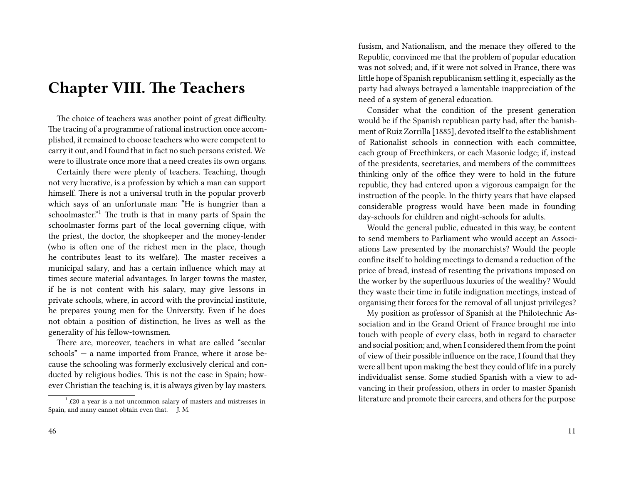#### **Chapter VIII. The Teachers**

The choice of teachers was another point of great difficulty. The tracing of a programme of rational instruction once accomplished, it remained to choose teachers who were competent to carry it out, and I found that in fact no such persons existed. We were to illustrate once more that a need creates its own organs.

Certainly there were plenty of teachers. Teaching, though not very lucrative, is a profession by which a man can support himself. There is not a universal truth in the popular proverb which says of an unfortunate man: "He is hungrier than a schoolmaster.<sup>"1</sup> The truth is that in many parts of Spain the schoolmaster forms part of the local governing clique, with the priest, the doctor, the shopkeeper and the money-lender (who is often one of the richest men in the place, though he contributes least to its welfare). The master receives a municipal salary, and has a certain influence which may at times secure material advantages. In larger towns the master, if he is not content with his salary, may give lessons in private schools, where, in accord with the provincial institute, he prepares young men for the University. Even if he does not obtain a position of distinction, he lives as well as the generality of his fellow-townsmen.

There are, moreover, teachers in what are called "secular schools" — a name imported from France, where it arose because the schooling was formerly exclusively clerical and conducted by religious bodies. This is not the case in Spain; however Christian the teaching is, it is always given by lay masters. fusism, and Nationalism, and the menace they offered to the Republic, convinced me that the problem of popular education was not solved; and, if it were not solved in France, there was little hope of Spanish republicanism settling it, especially as the party had always betrayed a lamentable inappreciation of the need of a system of general education.

Consider what the condition of the present generation would be if the Spanish republican party had, after the banishment of Ruiz Zorrilla [1885], devoted itself to the establishment of Rationalist schools in connection with each committee, each group of Freethinkers, or each Masonic lodge; if, instead of the presidents, secretaries, and members of the committees thinking only of the office they were to hold in the future republic, they had entered upon a vigorous campaign for the instruction of the people. In the thirty years that have elapsed considerable progress would have been made in founding day-schools for children and night-schools for adults.

Would the general public, educated in this way, be content to send members to Parliament who would accept an Associations Law presented by the monarchists? Would the people confine itself to holding meetings to demand a reduction of the price of bread, instead of resenting the privations imposed on the worker by the superfluous luxuries of the wealthy? Would they waste their time in futile indignation meetings, instead of organising their forces for the removal of all unjust privileges?

My position as professor of Spanish at the Philotechnic Association and in the Grand Orient of France brought me into touch with people of every class, both in regard to character and social position; and, when I considered them from the point of view of their possible influence on the race, I found that they were all bent upon making the best they could of life in a purely individualist sense. Some studied Spanish with a view to advancing in their profession, others in order to master Spanish literature and promote their careers, and others for the purpose

 $1$  £20 a year is a not uncommon salary of masters and mistresses in Spain, and many cannot obtain even that. — J. M.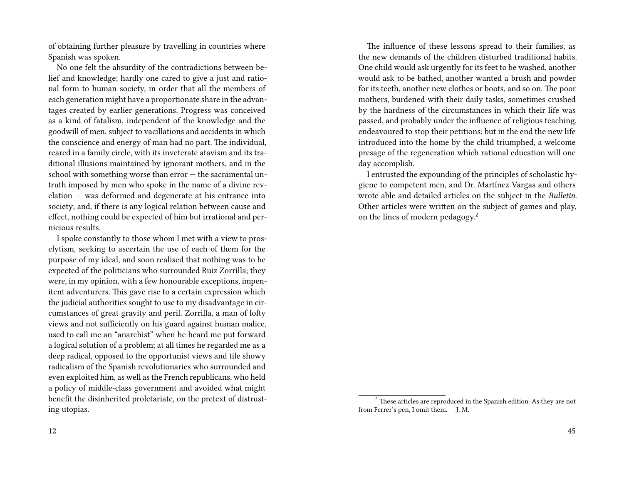of obtaining further pleasure by travelling in countries where Spanish was spoken.

No one felt the absurdity of the contradictions between belief and knowledge; hardly one cared to give a just and rational form to human society, in order that all the members of each generation might have a proportionate share in the advantages created by earlier generations. Progress was conceived as a kind of fatalism, independent of the knowledge and the goodwill of men, subject to vacillations and accidents in which the conscience and energy of man had no part. The individual, reared in a family circle, with its inveterate atavism and its traditional illusions maintained by ignorant mothers, and in the school with something worse than error — the sacramental untruth imposed by men who spoke in the name of a divine revelation — was deformed and degenerate at his entrance into society; and, if there is any logical relation between cause and effect, nothing could be expected of him but irrational and pernicious results.

I spoke constantly to those whom I met with a view to proselytism, seeking to ascertain the use of each of them for the purpose of my ideal, and soon realised that nothing was to be expected of the politicians who surrounded Ruiz Zorrilla; they were, in my opinion, with a few honourable exceptions, impenitent adventurers. This gave rise to a certain expression which the judicial authorities sought to use to my disadvantage in circumstances of great gravity and peril. Zorrilla, a man of lofty views and not sufficiently on his guard against human malice, used to call me an "anarchist" when he heard me put forward a logical solution of a problem; at all times he regarded me as a deep radical, opposed to the opportunist views and tile showy radicalism of the Spanish revolutionaries who surrounded and even exploited him, as well as the French republicans, who held a policy of middle-class government and avoided what might benefit the disinherited proletariate, on the pretext of distrusting utopias.

The influence of these lessons spread to their families, as the new demands of the children disturbed traditional habits. One child would ask urgently for its feet to be washed, another would ask to be bathed, another wanted a brush and powder for its teeth, another new clothes or boots, and so on. The poor mothers, burdened with their daily tasks, sometimes crushed by the hardness of the circumstances in which their life was passed, and probably under the influence of religious teaching, endeavoured to stop their petitions; but in the end the new life introduced into the home by the child triumphed, a welcome presage of the regeneration which rational education will one day accomplish.

I entrusted the expounding of the principles of scholastic hygiene to competent men, and Dr. Martínez Vargas and others wrote able and detailed articles on the subject in the *Bulletin*. Other articles were written on the subject of games and play, on the lines of modern pedagogy.<sup>2</sup>

<sup>&</sup>lt;sup>2</sup> These articles are reproduced in the Spanish edition. As they are not from Ferrer's pen, I omit them. — J. M.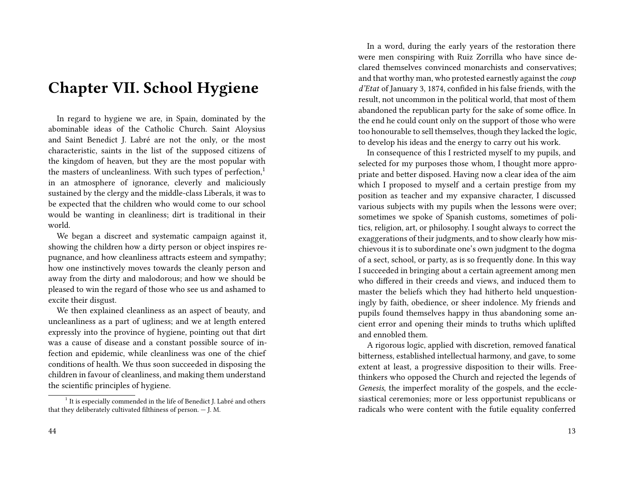#### **Chapter VII. School Hygiene**

In regard to hygiene we are, in Spain, dominated by the abominable ideas of the Catholic Church. Saint Aloysius and Saint Benedict J. Labré are not the only, or the most characteristic, saints in the list of the supposed citizens of the kingdom of heaven, but they are the most popular with the masters of uncleanliness. With such types of perfection,<sup>1</sup> in an atmosphere of ignorance, cleverly and maliciously sustained by the clergy and the middle-class Liberals, it was to be expected that the children who would come to our school would be wanting in cleanliness; dirt is traditional in their world.

We began a discreet and systematic campaign against it, showing the children how a dirty person or object inspires repugnance, and how cleanliness attracts esteem and sympathy; how one instinctively moves towards the cleanly person and away from the dirty and malodorous; and how we should be pleased to win the regard of those who see us and ashamed to excite their disgust.

We then explained cleanliness as an aspect of beauty, and uncleanliness as a part of ugliness; and we at length entered expressly into the province of hygiene, pointing out that dirt was a cause of disease and a constant possible source of infection and epidemic, while cleanliness was one of the chief conditions of health. We thus soon succeeded in disposing the children in favour of cleanliness, and making them understand the scientific principles of hygiene.

In a word, during the early years of the restoration there were men conspiring with Ruiz Zorrilla who have since declared themselves convinced monarchists and conservatives; and that worthy man, who protested earnestly against the *coup d'Etat* of January 3, 1874, confided in his false friends, with the result, not uncommon in the political world, that most of them abandoned the republican party for the sake of some office. In the end he could count only on the support of those who were too honourable to sell themselves, though they lacked the logic, to develop his ideas and the energy to carry out his work.

In consequence of this I restricted myself to my pupils, and selected for my purposes those whom, I thought more appropriate and better disposed. Having now a clear idea of the aim which I proposed to myself and a certain prestige from my position as teacher and my expansive character, I discussed various subjects with my pupils when the lessons were over; sometimes we spoke of Spanish customs, sometimes of politics, religion, art, or philosophy. I sought always to correct the exaggerations of their judgments, and to show clearly how mischievous it is to subordinate one's own judgment to the dogma of a sect, school, or party, as is so frequently done. In this way I succeeded in bringing about a certain agreement among men who differed in their creeds and views, and induced them to master the beliefs which they had hitherto held unquestioningly by faith, obedience, or sheer indolence. My friends and pupils found themselves happy in thus abandoning some ancient error and opening their minds to truths which uplifted and ennobled them.

A rigorous logic, applied with discretion, removed fanatical bitterness, established intellectual harmony, and gave, to some extent at least, a progressive disposition to their wills. Freethinkers who opposed the Church and rejected the legends of *Genesis*, the imperfect morality of the gospels, and the ecclesiastical ceremonies; more or less opportunist republicans or radicals who were content with the futile equality conferred

<sup>&</sup>lt;sup>1</sup> It is especially commended in the life of Benedict J. Labré and others that they deliberately cultivated filthiness of person. — J. M.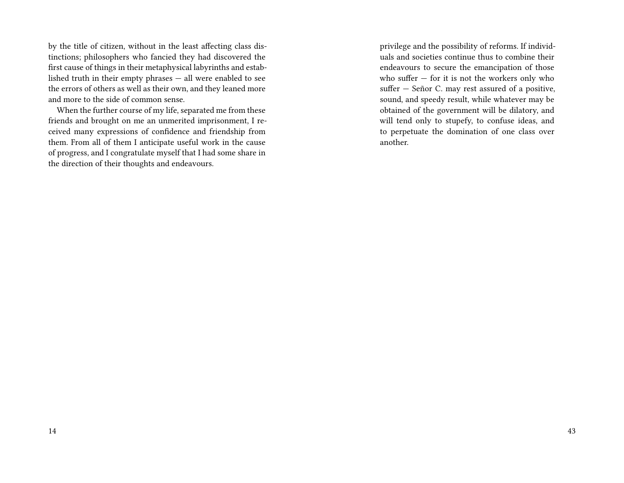by the title of citizen, without in the least affecting class distinctions; philosophers who fancied they had discovered the first cause of things in their metaphysical labyrinths and established truth in their empty phrases — all were enabled to see the errors of others as well as their own, and they leaned more and more to the side of common sense.

When the further course of my life, separated me from these friends and brought on me an unmerited imprisonment, I received many expressions of confidence and friendship from them. From all of them I anticipate useful work in the cause of progress, and I congratulate myself that I had some share in the direction of their thoughts and endeavours.

privilege and the possibility of reforms. If individuals and societies continue thus to combine their endeavours to secure the emancipation of those who suffer  $-$  for it is not the workers only who suffer — Señor C. may rest assured of a positive, sound, and speedy result, while whatever may be obtained of the government will be dilatory, and will tend only to stupefy, to confuse ideas, and to perpetuate the domination of one class over another.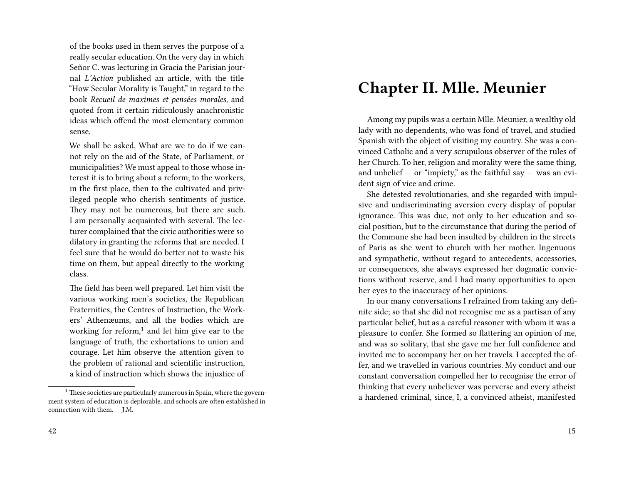of the books used in them serves the purpose of a really secular education. On the very day in which Señor C. was lecturing in Gracia the Parisian journal *L'Action* published an article, with the title "How Secular Morality is Taught," in regard to the book *Recueil de maximes et pensées morales,* and quoted from it certain ridiculously anachronistic ideas which offend the most elementary common sense.

We shall be asked, What are we to do if we cannot rely on the aid of the State, of Parliament, or municipalities? We must appeal to those whose interest it is to bring about a reform; to the workers, in the first place, then to the cultivated and privileged people who cherish sentiments of justice. They may not be numerous, but there are such. I am personally acquainted with several. The lecturer complained that the civic authorities were so dilatory in granting the reforms that are needed. I feel sure that he would do better not to waste his time on them, but appeal directly to the working class.

The field has been well prepared. Let him visit the various working men's societies, the Republican Fraternities, the Centres of Instruction, the Workers' Athenæums, and all the bodies which are working for reform,<sup>1</sup> and let him give ear to the language of truth, the exhortations to union and courage. Let him observe the attention given to the problem of rational and scientific instruction, a kind of instruction which shows the injustice of

#### **Chapter II. Mlle. Meunier**

Among my pupils was a certain Mlle. Meunier, a wealthy old lady with no dependents, who was fond of travel, and studied Spanish with the object of visiting my country. She was a convinced Catholic and a very scrupulous observer of the rules of her Church. To her, religion and morality were the same thing, and unbelief  $-$  or "impiety," as the faithful say  $-$  was an evident sign of vice and crime.

She detested revolutionaries, and she regarded with impulsive and undiscriminating aversion every display of popular ignorance. This was due, not only to her education and social position, but to the circumstance that during the period of the Commune she had been insulted by children in the streets of Paris as she went to church with her mother. Ingenuous and sympathetic, without regard to antecedents, accessories, or consequences, she always expressed her dogmatic convictions without reserve, and I had many opportunities to open her eyes to the inaccuracy of her opinions.

In our many conversations I refrained from taking any definite side; so that she did not recognise me as a partisan of any particular belief, but as a careful reasoner with whom it was a pleasure to confer. She formed so flattering an opinion of me, and was so solitary, that she gave me her full confidence and invited me to accompany her on her travels. I accepted the offer, and we travelled in various countries. My conduct and our constant conversation compelled her to recognise the error of thinking that every unbeliever was perverse and every atheist a hardened criminal, since, I, a convinced atheist, manifested

 $1$  These societies are particularly numerous in Spain, where the government system of education is deplorable, and schools are often established in connection with them. — J.M.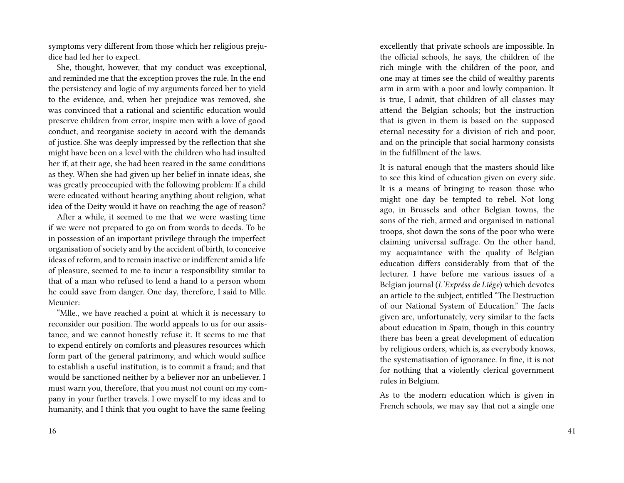symptoms very different from those which her religious prejudice had led her to expect.

She, thought, however, that my conduct was exceptional, and reminded me that the exception proves the rule. In the end the persistency and logic of my arguments forced her to yield to the evidence, and, when her prejudice was removed, she was convinced that a rational and scientific education would preserve children from error, inspire men with a love of good conduct, and reorganise society in accord with the demands of justice. She was deeply impressed by the reflection that she might have been on a level with the children who had insulted her if, at their age, she had been reared in the same conditions as they. When she had given up her belief in innate ideas, she was greatly preoccupied with the following problem: If a child were educated without hearing anything about religion, what idea of the Deity would it have on reaching the age of reason?

After a while, it seemed to me that we were wasting time if we were not prepared to go on from words to deeds. To be in possession of an important privilege through the imperfect organisation of society and by the accident of birth, to conceive ideas of reform, and to remain inactive or indifferent amid a life of pleasure, seemed to me to incur a responsibility similar to that of a man who refused to lend a hand to a person whom he could save from danger. One day, therefore, I said to Mlle. Meunier:

"Mlle., we have reached a point at which it is necessary to reconsider our position. The world appeals to us for our assistance, and we cannot honestly refuse it. It seems to me that to expend entirely on comforts and pleasures resources which form part of the general patrimony, and which would suffice to establish a useful institution, is to commit a fraud; and that would be sanctioned neither by a believer nor an unbeliever. I must warn you, therefore, that you must not count on my company in your further travels. I owe myself to my ideas and to humanity, and I think that you ought to have the same feeling

excellently that private schools are impossible. In the official schools, he says, the children of the rich mingle with the children of the poor, and one may at times see the child of wealthy parents arm in arm with a poor and lowly companion. It is true, I admit, that children of all classes may attend the Belgian schools; but the instruction that is given in them is based on the supposed eternal necessity for a division of rich and poor, and on the principle that social harmony consists in the fulfillment of the laws.

It is natural enough that the masters should like to see this kind of education given on every side. It is a means of bringing to reason those who might one day be tempted to rebel. Not long ago, in Brussels and other Belgian towns, the sons of the rich, armed and organised in national troops, shot down the sons of the poor who were claiming universal suffrage. On the other hand, my acquaintance with the quality of Belgian education differs considerably from that of the lecturer. I have before me various issues of a Belgian journal (*L'Expréss de Liége*) which devotes an article to the subject, entitled "The Destruction of our National System of Education." The facts given are, unfortunately, very similar to the facts about education in Spain, though in this country there has been a great development of education by religious orders, which is, as everybody knows, the systematisation of ignorance. In fine, it is not for nothing that a violently clerical government rules in Belgium.

As to the modern education which is given in French schools, we may say that not a single one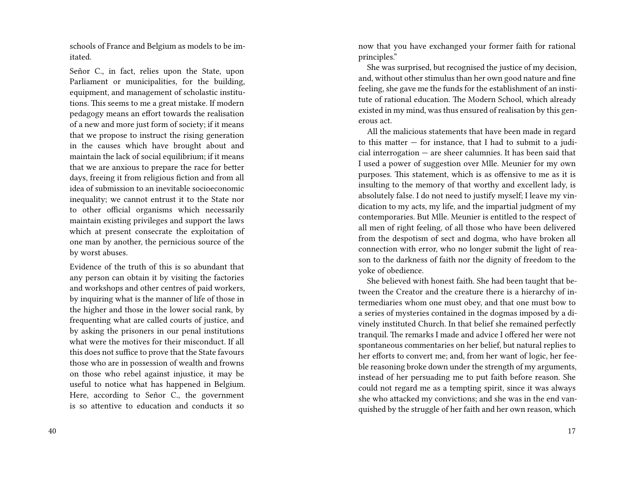schools of France and Belgium as models to be imitated.

Señor C., in fact, relies upon the State, upon Parliament or municipalities, for the building, equipment, and management of scholastic institutions. This seems to me a great mistake. If modern pedagogy means an effort towards the realisation of a new and more just form of society; if it means that we propose to instruct the rising generation in the causes which have brought about and maintain the lack of social equilibrium; if it means that we are anxious to prepare the race for better days, freeing it from religious fiction and from all idea of submission to an inevitable socioeconomic inequality; we cannot entrust it to the State nor to other official organisms which necessarily maintain existing privileges and support the laws which at present consecrate the exploitation of one man by another, the pernicious source of the by worst abuses.

Evidence of the truth of this is so abundant that any person can obtain it by visiting the factories and workshops and other centres of paid workers, by inquiring what is the manner of life of those in the higher and those in the lower social rank, by frequenting what are called courts of justice, and by asking the prisoners in our penal institutions what were the motives for their misconduct. If all this does not suffice to prove that the State favours those who are in possession of wealth and frowns on those who rebel against injustice, it may be useful to notice what has happened in Belgium. Here, according to Señor C., the government is so attentive to education and conducts it so

now that you have exchanged your former faith for rational principles."

She was surprised, but recognised the justice of my decision, and, without other stimulus than her own good nature and fine feeling, she gave me the funds for the establishment of an institute of rational education. The Modern School, which already existed in my mind, was thus ensured of realisation by this generous act.

All the malicious statements that have been made in regard to this matter  $-$  for instance, that I had to submit to a judicial interrogation — are sheer calumnies. It has been said that I used a power of suggestion over Mlle. Meunier for my own purposes. This statement, which is as offensive to me as it is insulting to the memory of that worthy and excellent lady, is absolutely false. I do not need to justify myself; I leave my vindication to my acts, my life, and the impartial judgment of my contemporaries. But Mlle. Meunier is entitled to the respect of all men of right feeling, of all those who have been delivered from the despotism of sect and dogma, who have broken all connection with error, who no longer submit the light of reason to the darkness of faith nor the dignity of freedom to the yoke of obedience.

She believed with honest faith. She had been taught that between the Creator and the creature there is a hierarchy of intermediaries whom one must obey, and that one must bow to a series of mysteries contained in the dogmas imposed by a divinely instituted Church. In that belief she remained perfectly tranquil. The remarks I made and advice I offered her were not spontaneous commentaries on her belief, but natural replies to her efforts to convert me; and, from her want of logic, her feeble reasoning broke down under the strength of my arguments, instead of her persuading me to put faith before reason. She could not regard me as a tempting spirit, since it was always she who attacked my convictions; and she was in the end vanquished by the struggle of her faith and her own reason, which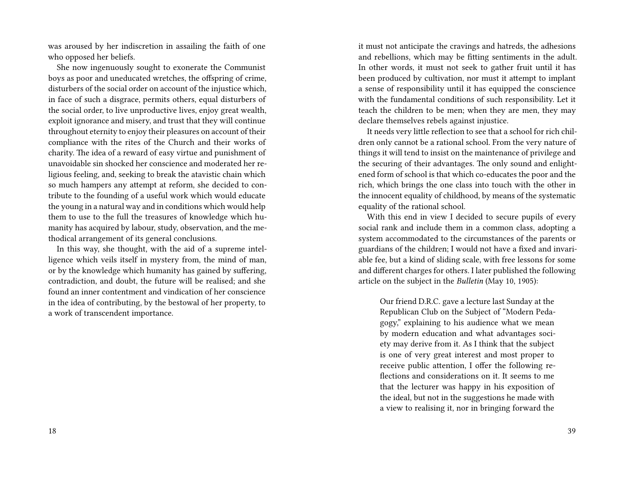was aroused by her indiscretion in assailing the faith of one who opposed her beliefs.

She now ingenuously sought to exonerate the Communist boys as poor and uneducated wretches, the offspring of crime, disturbers of the social order on account of the injustice which, in face of such a disgrace, permits others, equal disturbers of the social order, to live unproductive lives, enjoy great wealth, exploit ignorance and misery, and trust that they will continue throughout eternity to enjoy their pleasures on account of their compliance with the rites of the Church and their works of charity. The idea of a reward of easy virtue and punishment of unavoidable sin shocked her conscience and moderated her religious feeling, and, seeking to break the atavistic chain which so much hampers any attempt at reform, she decided to contribute to the founding of a useful work which would educate the young in a natural way and in conditions which would help them to use to the full the treasures of knowledge which humanity has acquired by labour, study, observation, and the methodical arrangement of its general conclusions.

In this way, she thought, with the aid of a supreme intelligence which veils itself in mystery from, the mind of man, or by the knowledge which humanity has gained by suffering, contradiction, and doubt, the future will be realised; and she found an inner contentment and vindication of her conscience in the idea of contributing, by the bestowal of her property, to a work of transcendent importance.

it must not anticipate the cravings and hatreds, the adhesions and rebellions, which may be fitting sentiments in the adult. In other words, it must not seek to gather fruit until it has been produced by cultivation, nor must it attempt to implant a sense of responsibility until it has equipped the conscience with the fundamental conditions of such responsibility. Let it teach the children to be men; when they are men, they may declare themselves rebels against injustice.

It needs very little reflection to see that a school for rich children only cannot be a rational school. From the very nature of things it will tend to insist on the maintenance of privilege and the securing of their advantages. The only sound and enlightened form of school is that which co-educates the poor and the rich, which brings the one class into touch with the other in the innocent equality of childhood, by means of the systematic equality of the rational school.

With this end in view I decided to secure pupils of every social rank and include them in a common class, adopting a system accommodated to the circumstances of the parents or guardians of the children; I would not have a fixed and invariable fee, but a kind of sliding scale, with free lessons for some and different charges for others. I later published the following article on the subject in the *Bulletin* (May 10, 1905):

Our friend D.R.C. gave a lecture last Sunday at the Republican Club on the Subject of "Modern Pedagogy," explaining to his audience what we mean by modern education and what advantages society may derive from it. As I think that the subject is one of very great interest and most proper to receive public attention, I offer the following reflections and considerations on it. It seems to me that the lecturer was happy in his exposition of the ideal, but not in the suggestions he made with a view to realising it, nor in bringing forward the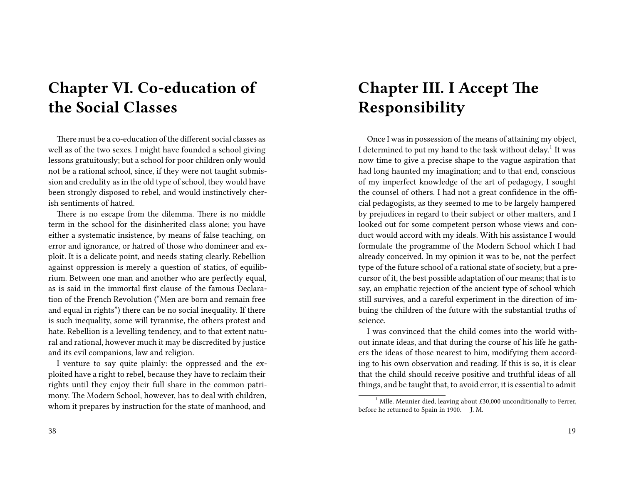# **Chapter VI. Co-education of the Social Classes**

There must be a co-education of the different social classes as well as of the two sexes. I might have founded a school giving lessons gratuitously; but a school for poor children only would not be a rational school, since, if they were not taught submission and credulity as in the old type of school, they would have been strongly disposed to rebel, and would instinctively cherish sentiments of hatred.

There is no escape from the dilemma. There is no middle term in the school for the disinherited class alone; you have either a systematic insistence, by means of false teaching, on error and ignorance, or hatred of those who domineer and exploit. It is a delicate point, and needs stating clearly. Rebellion against oppression is merely a question of statics, of equilibrium. Between one man and another who are perfectly equal, as is said in the immortal first clause of the famous Declaration of the French Revolution ("Men are born and remain free and equal in rights") there can be no social inequality. If there is such inequality, some will tyrannise, the others protest and hate. Rebellion is a levelling tendency, and to that extent natural and rational, however much it may be discredited by justice and its evil companions, law and religion.

I venture to say quite plainly: the oppressed and the exploited have a right to rebel, because they have to reclaim their rights until they enjoy their full share in the common patrimony. The Modern School, however, has to deal with children, whom it prepares by instruction for the state of manhood, and

#### 38

## **Chapter III. I Accept The Responsibility**

Once I was in possession of the means of attaining my object, I determined to put my hand to the task without delay.<sup>1</sup> It was now time to give a precise shape to the vague aspiration that had long haunted my imagination; and to that end, conscious of my imperfect knowledge of the art of pedagogy, I sought the counsel of others. I had not a great confidence in the official pedagogists, as they seemed to me to be largely hampered by prejudices in regard to their subject or other matters, and I looked out for some competent person whose views and conduct would accord with my ideals. With his assistance I would formulate the programme of the Modern School which I had already conceived. In my opinion it was to be, not the perfect type of the future school of a rational state of society, but a precursor of it, the best possible adaptation of our means; that is to say, an emphatic rejection of the ancient type of school which still survives, and a careful experiment in the direction of imbuing the children of the future with the substantial truths of science.

I was convinced that the child comes into the world without innate ideas, and that during the course of his life he gathers the ideas of those nearest to him, modifying them according to his own observation and reading. If this is so, it is clear that the child should receive positive and truthful ideas of all things, and be taught that, to avoid error, it is essential to admit

<sup>&</sup>lt;sup>1</sup> Mlle. Meunier died, leaving about  $£30,000$  unconditionally to Ferrer, before he returned to Spain in 1900. — J. M.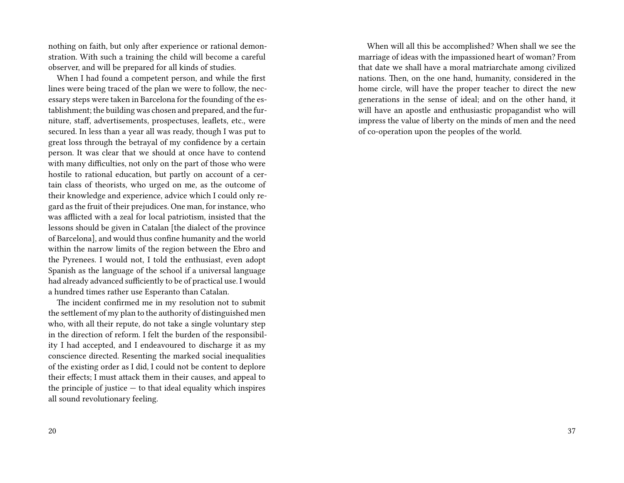nothing on faith, but only after experience or rational demonstration. With such a training the child will become a careful observer, and will be prepared for all kinds of studies.

When I had found a competent person, and while the first lines were being traced of the plan we were to follow, the necessary steps were taken in Barcelona for the founding of the establishment; the building was chosen and prepared, and the furniture, staff, advertisements, prospectuses, leaflets, etc., were secured. In less than a year all was ready, though I was put to great loss through the betrayal of my confidence by a certain person. It was clear that we should at once have to contend with many difficulties, not only on the part of those who were hostile to rational education, but partly on account of a certain class of theorists, who urged on me, as the outcome of their knowledge and experience, advice which I could only regard as the fruit of their prejudices. One man, for instance, who was afflicted with a zeal for local patriotism, insisted that the lessons should be given in Catalan [the dialect of the province of Barcelona], and would thus confine humanity and the world within the narrow limits of the region between the Ebro and the Pyrenees. I would not, I told the enthusiast, even adopt Spanish as the language of the school if a universal language had already advanced sufficiently to be of practical use. I would a hundred times rather use Esperanto than Catalan.

The incident confirmed me in my resolution not to submit the settlement of my plan to the authority of distinguished men who, with all their repute, do not take a single voluntary step in the direction of reform. I felt the burden of the responsibility I had accepted, and I endeavoured to discharge it as my conscience directed. Resenting the marked social inequalities of the existing order as I did, I could not be content to deplore their effects; I must attack them in their causes, and appeal to the principle of justice  $-$  to that ideal equality which inspires all sound revolutionary feeling.

When will all this be accomplished? When shall we see the marriage of ideas with the impassioned heart of woman? From that date we shall have a moral matriarchate among civilized nations. Then, on the one hand, humanity, considered in the home circle, will have the proper teacher to direct the new generations in the sense of ideal; and on the other hand, it will have an apostle and enthusiastic propagandist who will impress the value of liberty on the minds of men and the need of co-operation upon the peoples of the world.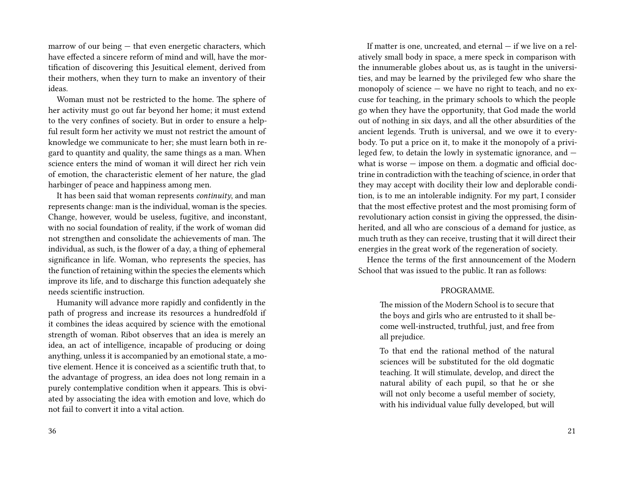marrow of our being — that even energetic characters, which have effected a sincere reform of mind and will, have the mortification of discovering this Jesuitical element, derived from their mothers, when they turn to make an inventory of their ideas.

Woman must not be restricted to the home. The sphere of her activity must go out far beyond her home; it must extend to the very confines of society. But in order to ensure a helpful result form her activity we must not restrict the amount of knowledge we communicate to her; she must learn both in regard to quantity and quality, the same things as a man. When science enters the mind of woman it will direct her rich vein of emotion, the characteristic element of her nature, the glad harbinger of peace and happiness among men.

It has been said that woman represents *continuity*, and man represents change: man is the individual, woman is the species. Change, however, would be useless, fugitive, and inconstant, with no social foundation of reality, if the work of woman did not strengthen and consolidate the achievements of man. The individual, as such, is the flower of a day, a thing of ephemeral significance in life. Woman, who represents the species, has the function of retaining within the species the elements which improve its life, and to discharge this function adequately she needs scientific instruction.

Humanity will advance more rapidly and confidently in the path of progress and increase its resources a hundredfold if it combines the ideas acquired by science with the emotional strength of woman. Ribot observes that an idea is merely an idea, an act of intelligence, incapable of producing or doing anything, unless it is accompanied by an emotional state, a motive element. Hence it is conceived as a scientific truth that, to the advantage of progress, an idea does not long remain in a purely contemplative condition when it appears. This is obviated by associating the idea with emotion and love, which do not fail to convert it into a vital action.

36

If matter is one, uncreated, and eternal — if we live on a relatively small body in space, a mere speck in comparison with the innumerable globes about us, as is taught in the universities, and may be learned by the privileged few who share the monopoly of science — we have no right to teach, and no excuse for teaching, in the primary schools to which the people go when they have the opportunity, that God made the world out of nothing in six days, and all the other absurdities of the ancient legends. Truth is universal, and we owe it to everybody. To put a price on it, to make it the monopoly of a privileged few, to detain the lowly in systematic ignorance, and what is worse — impose on them. a dogmatic and official doctrine in contradiction with the teaching of science, in order that they may accept with docility their low and deplorable condition, is to me an intolerable indignity. For my part, I consider that the most effective protest and the most promising form of revolutionary action consist in giving the oppressed, the disinherited, and all who are conscious of a demand for justice, as much truth as they can receive, trusting that it will direct their energies in the great work of the regeneration of society.

Hence the terms of the first announcement of the Modern School that was issued to the public. It ran as follows:

#### PROGRAMME.

The mission of the Modern School is to secure that the boys and girls who are entrusted to it shall become well-instructed, truthful, just, and free from all prejudice.

To that end the rational method of the natural sciences will be substituted for the old dogmatic teaching. It will stimulate, develop, and direct the natural ability of each pupil, so that he or she will not only become a useful member of society, with his individual value fully developed, but will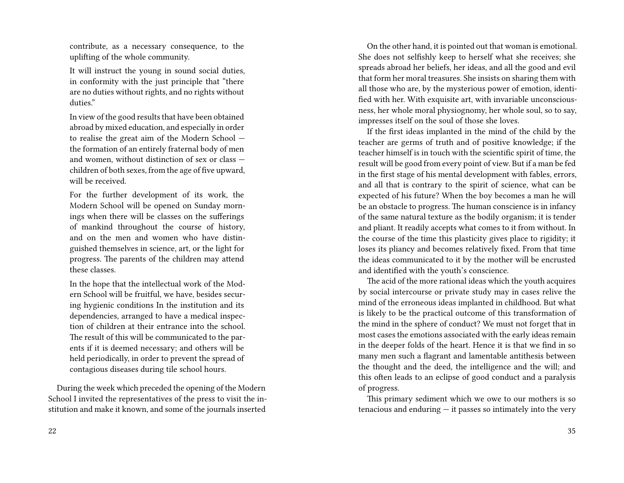contribute, as a necessary consequence, to the uplifting of the whole community.

It will instruct the young in sound social duties, in conformity with the just principle that "there are no duties without rights, and no rights without duties."

In view of the good results that have been obtained abroad by mixed education, and especially in order to realise the great aim of the Modern School the formation of an entirely fraternal body of men and women, without distinction of sex or class children of both sexes, from the age of five upward, will be received.

For the further development of its work, the Modern School will be opened on Sunday mornings when there will be classes on the sufferings of mankind throughout the course of history, and on the men and women who have distinguished themselves in science, art, or the light for progress. The parents of the children may attend these classes.

In the hope that the intellectual work of the Modern School will be fruitful, we have, besides securing hygienic conditions In the institution and its dependencies, arranged to have a medical inspection of children at their entrance into the school. The result of this will be communicated to the parents if it is deemed necessary; and others will be held periodically, in order to prevent the spread of contagious diseases during tile school hours.

During the week which preceded the opening of the Modern School I invited the representatives of the press to visit the institution and make it known, and some of the journals inserted

On the other hand, it is pointed out that woman is emotional. She does not selfishly keep to herself what she receives; she spreads abroad her beliefs, her ideas, and all the good and evil that form her moral treasures. She insists on sharing them with all those who are, by the mysterious power of emotion, identified with her. With exquisite art, with invariable unconsciousness, her whole moral physiognomy, her whole soul, so to say, impresses itself on the soul of those she loves.

If the first ideas implanted in the mind of the child by the teacher are germs of truth and of positive knowledge; if the teacher himself is in touch with the scientific spirit of time, the result will be good from every point of view. But if a man be fed in the first stage of his mental development with fables, errors, and all that is contrary to the spirit of science, what can be expected of his future? When the boy becomes a man he will be an obstacle to progress. The human conscience is in infancy of the same natural texture as the bodily organism; it is tender and pliant. It readily accepts what comes to it from without. In the course of the time this plasticity gives place to rigidity; it loses its pliancy and becomes relatively fixed. From that time the ideas communicated to it by the mother will be encrusted and identified with the youth's conscience.

The acid of the more rational ideas which the youth acquires by social intercourse or private study may in cases relive the mind of the erroneous ideas implanted in childhood. But what is likely to be the practical outcome of this transformation of the mind in the sphere of conduct? We must not forget that in most cases the emotions associated with the early ideas remain in the deeper folds of the heart. Hence it is that we find in so many men such a flagrant and lamentable antithesis between the thought and the deed, the intelligence and the will; and this often leads to an eclipse of good conduct and a paralysis of progress.

This primary sediment which we owe to our mothers is so tenacious and enduring  $-$  it passes so intimately into the very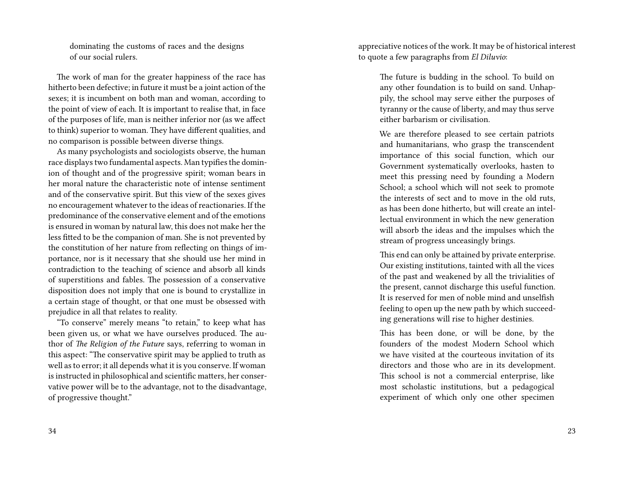dominating the customs of races and the designs of our social rulers.

The work of man for the greater happiness of the race has hitherto been defective; in future it must be a joint action of the sexes; it is incumbent on both man and woman, according to the point of view of each. It is important to realise that, in face of the purposes of life, man is neither inferior nor (as we affect to think) superior to woman. They have different qualities, and no comparison is possible between diverse things.

As many psychologists and sociologists observe, the human race displays two fundamental aspects. Man typifies the dominion of thought and of the progressive spirit; woman bears in her moral nature the characteristic note of intense sentiment and of the conservative spirit. But this view of the sexes gives no encouragement whatever to the ideas of reactionaries. If the predominance of the conservative element and of the emotions is ensured in woman by natural law, this does not make her the less fitted to be the companion of man. She is not prevented by the constitution of her nature from reflecting on things of importance, nor is it necessary that she should use her mind in contradiction to the teaching of science and absorb all kinds of superstitions and fables. The possession of a conservative disposition does not imply that one is bound to crystallize in a certain stage of thought, or that one must be obsessed with prejudice in all that relates to reality.

"To conserve" merely means "to retain," to keep what has been given us, or what we have ourselves produced. The author of *The Religion of the Future* says, referring to woman in this aspect: "The conservative spirit may be applied to truth as well as to error; it all depends what it is you conserve. If woman is instructed in philosophical and scientific matters, her conservative power will be to the advantage, not to the disadvantage, of progressive thought."

34

appreciative notices of the work. It may be of historical interest to quote a few paragraphs from *El Diluvio*:

> The future is budding in the school. To build on any other foundation is to build on sand. Unhappily, the school may serve either the purposes of tyranny or the cause of liberty, and may thus serve either barbarism or civilisation.

> We are therefore pleased to see certain patriots and humanitarians, who grasp the transcendent importance of this social function, which our Government systematically overlooks, hasten to meet this pressing need by founding a Modern School; a school which will not seek to promote the interests of sect and to move in the old ruts, as has been done hitherto, but will create an intellectual environment in which the new generation will absorb the ideas and the impulses which the stream of progress unceasingly brings.

> This end can only be attained by private enterprise. Our existing institutions, tainted with all the vices of the past and weakened by all the trivialities of the present, cannot discharge this useful function. It is reserved for men of noble mind and unselfish feeling to open up the new path by which succeeding generations will rise to higher destinies.

This has been done, or will be done, by the founders of the modest Modern School which we have visited at the courteous invitation of its directors and those who are in its development. This school is not a commercial enterprise, like most scholastic institutions, but a pedagogical experiment of which only one other specimen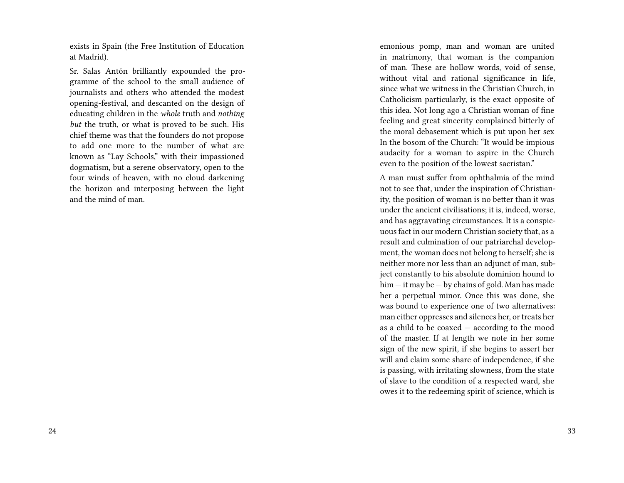exists in Spain (the Free Institution of Education at Madrid).

Sr. Salas Antón brilliantly expounded the programme of the school to the small audience of journalists and others who attended the modest opening-festival, and descanted on the design of educating children in the *whole* truth and *nothing but* the truth, or what is proved to be such. His chief theme was that the founders do not propose to add one more to the number of what are known as "Lay Schools," with their impassioned dogmatism, but a serene observatory, open to the four winds of heaven, with no cloud darkening the horizon and interposing between the light and the mind of man.

emonious pomp, man and woman are united in matrimony, that woman is the companion of man. These are hollow words, void of sense, without vital and rational significance in life, since what we witness in the Christian Church, in Catholicism particularly, is the exact opposite of this idea. Not long ago a Christian woman of fine feeling and great sincerity complained bitterly of the moral debasement which is put upon her sex In the bosom of the Church: "It would be impious audacity for a woman to aspire in the Church even to the position of the lowest sacristan."

A man must suffer from ophthalmia of the mind not to see that, under the inspiration of Christianity, the position of woman is no better than it was under the ancient civilisations; it is, indeed, worse, and has aggravating circumstances. It is a conspicuous fact in our modern Christian society that, as a result and culmination of our patriarchal development, the woman does not belong to herself; she is neither more nor less than an adjunct of man, subject constantly to his absolute dominion hound to him — it may be — by chains of gold. Man has made her a perpetual minor. Once this was done, she was bound to experience one of two alternatives: man either oppresses and silences her, or treats her as a child to be coaxed — according to the mood of the master. If at length we note in her some sign of the new spirit, if she begins to assert her will and claim some share of independence, if she is passing, with irritating slowness, from the state of slave to the condition of a respected ward, she owes it to the redeeming spirit of science, which is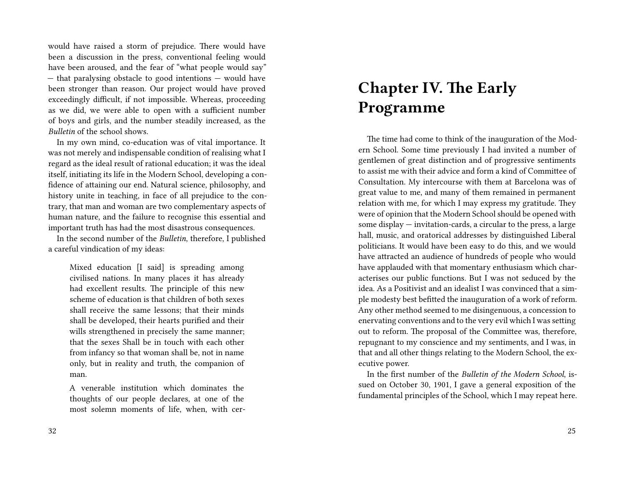would have raised a storm of prejudice. There would have been a discussion in the press, conventional feeling would have been aroused, and the fear of "what people would say" — that paralysing obstacle to good intentions — would have been stronger than reason. Our project would have proved exceedingly difficult, if not impossible. Whereas, proceeding as we did, we were able to open with a sufficient number of boys and girls, and the number steadily increased, as the *Bulletin* of the school shows.

In my own mind, co-education was of vital importance. It was not merely and indispensable condition of realising what I regard as the ideal result of rational education; it was the ideal itself, initiating its life in the Modern School, developing a confidence of attaining our end. Natural science, philosophy, and history unite in teaching, in face of all prejudice to the contrary, that man and woman are two complementary aspects of human nature, and the failure to recognise this essential and important truth has had the most disastrous consequences.

In the second number of the *Bulletin*, therefore, I published a careful vindication of my ideas:

Mixed education [I said] is spreading among civilised nations. In many places it has already had excellent results. The principle of this new scheme of education is that children of both sexes shall receive the same lessons; that their minds shall be developed, their hearts purified and their wills strengthened in precisely the same manner; that the sexes Shall be in touch with each other from infancy so that woman shall be, not in name only, but in reality and truth, the companion of man.

A venerable institution which dominates the thoughts of our people declares, at one of the most solemn moments of life, when, with cer-

# **Chapter IV. The Early Programme**

The time had come to think of the inauguration of the Modern School. Some time previously I had invited a number of gentlemen of great distinction and of progressive sentiments to assist me with their advice and form a kind of Committee of Consultation. My intercourse with them at Barcelona was of great value to me, and many of them remained in permanent relation with me, for which I may express my gratitude. They were of opinion that the Modern School should be opened with some display — invitation-cards, a circular to the press, a large hall, music, and oratorical addresses by distinguished Liberal politicians. It would have been easy to do this, and we would have attracted an audience of hundreds of people who would have applauded with that momentary enthusiasm which characterises our public functions. But I was not seduced by the idea. As a Positivist and an idealist I was convinced that a simple modesty best befitted the inauguration of a work of reform. Any other method seemed to me disingenuous, a concession to enervating conventions and to the very evil which I was setting out to reform. The proposal of the Committee was, therefore, repugnant to my conscience and my sentiments, and I was, in that and all other things relating to the Modern School, the executive power.

In the first number of the *Bulletin of the Modern School*, issued on October 30, 1901, I gave a general exposition of the fundamental principles of the School, which I may repeat here.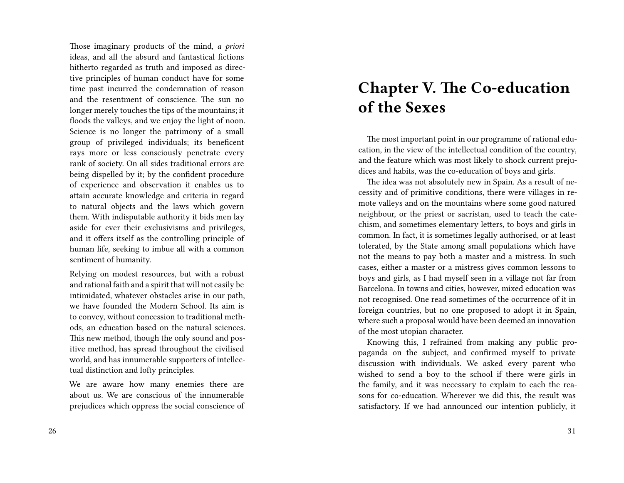Those imaginary products of the mind, *a priori* ideas, and all the absurd and fantastical fictions hitherto regarded as truth and imposed as directive principles of human conduct have for some time past incurred the condemnation of reason and the resentment of conscience. The sun no longer merely touches the tips of the mountains; it floods the valleys, and we enjoy the light of noon. Science is no longer the patrimony of a small group of privileged individuals; its beneficent rays more or less consciously penetrate every rank of society. On all sides traditional errors are being dispelled by it; by the confident procedure of experience and observation it enables us to attain accurate knowledge and criteria in regard to natural objects and the laws which govern them. With indisputable authority it bids men lay aside for ever their exclusivisms and privileges, and it offers itself as the controlling principle of human life, seeking to imbue all with a common sentiment of humanity.

Relying on modest resources, but with a robust and rational faith and a spirit that will not easily be intimidated, whatever obstacles arise in our path, we have founded the Modern School. Its aim is to convey, without concession to traditional methods, an education based on the natural sciences. This new method, though the only sound and positive method, has spread throughout the civilised world, and has innumerable supporters of intellectual distinction and lofty principles.

We are aware how many enemies there are about us. We are conscious of the innumerable prejudices which oppress the social conscience of

### **Chapter V. The Co-education of the Sexes**

The most important point in our programme of rational education, in the view of the intellectual condition of the country, and the feature which was most likely to shock current prejudices and habits, was the co-education of boys and girls.

The idea was not absolutely new in Spain. As a result of necessity and of primitive conditions, there were villages in remote valleys and on the mountains where some good natured neighbour, or the priest or sacristan, used to teach the catechism, and sometimes elementary letters, to boys and girls in common. In fact, it is sometimes legally authorised, or at least tolerated, by the State among small populations which have not the means to pay both a master and a mistress. In such cases, either a master or a mistress gives common lessons to boys and girls, as I had myself seen in a village not far from Barcelona. In towns and cities, however, mixed education was not recognised. One read sometimes of the occurrence of it in foreign countries, but no one proposed to adopt it in Spain, where such a proposal would have been deemed an innovation of the most utopian character.

Knowing this, I refrained from making any public propaganda on the subject, and confirmed myself to private discussion with individuals. We asked every parent who wished to send a boy to the school if there were girls in the family, and it was necessary to explain to each the reasons for co-education. Wherever we did this, the result was satisfactory. If we had announced our intention publicly, it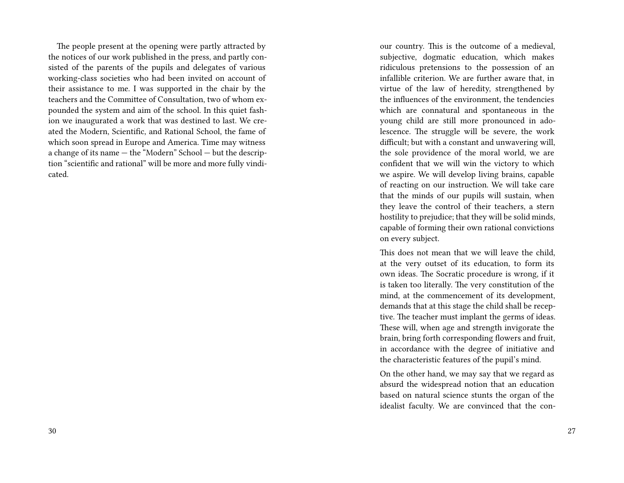The people present at the opening were partly attracted by the notices of our work published in the press, and partly consisted of the parents of the pupils and delegates of various working-class societies who had been invited on account of their assistance to me. I was supported in the chair by the teachers and the Committee of Consultation, two of whom expounded the system and aim of the school. In this quiet fashion we inaugurated a work that was destined to last. We created the Modern, Scientific, and Rational School, the fame of which soon spread in Europe and America. Time may witness a change of its name — the "Modern" School — but the description "scientific and rational" will be more and more fully vindicated.

our country. This is the outcome of a medieval, subjective, dogmatic education, which makes ridiculous pretensions to the possession of an infallible criterion. We are further aware that, in virtue of the law of heredity, strengthened by the influences of the environment, the tendencies which are connatural and spontaneous in the young child are still more pronounced in adolescence. The struggle will be severe, the work difficult; but with a constant and unwavering will, the sole providence of the moral world, we are confident that we will win the victory to which we aspire. We will develop living brains, capable of reacting on our instruction. We will take care that the minds of our pupils will sustain, when they leave the control of their teachers, a stern hostility to prejudice; that they will be solid minds, capable of forming their own rational convictions on every subject.

This does not mean that we will leave the child, at the very outset of its education, to form its own ideas. The Socratic procedure is wrong, if it is taken too literally. The very constitution of the mind, at the commencement of its development, demands that at this stage the child shall be receptive. The teacher must implant the germs of ideas. These will, when age and strength invigorate the brain, bring forth corresponding flowers and fruit, in accordance with the degree of initiative and the characteristic features of the pupil's mind.

On the other hand, we may say that we regard as absurd the widespread notion that an education based on natural science stunts the organ of the idealist faculty. We are convinced that the con-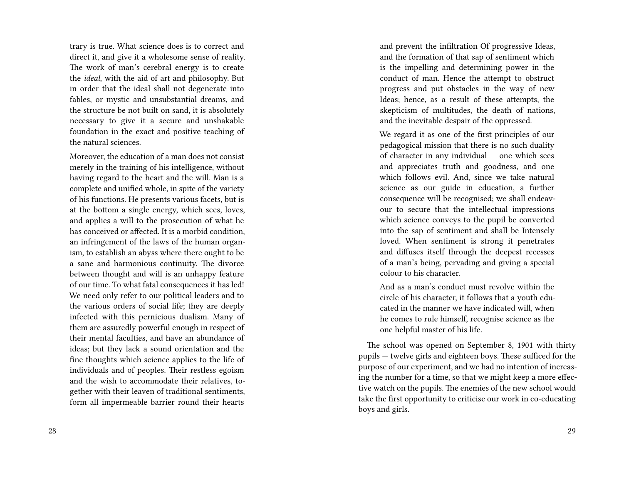trary is true. What science does is to correct and direct it, and give it a wholesome sense of reality. The work of man's cerebral energy is to create the *ideal*, with the aid of art and philosophy. But in order that the ideal shall not degenerate into fables, or mystic and unsubstantial dreams, and the structure be not built on sand, it is absolutely necessary to give it a secure and unshakable foundation in the exact and positive teaching of the natural sciences.

Moreover, the education of a man does not consist merely in the training of his intelligence, without having regard to the heart and the will. Man is a complete and unified whole, in spite of the variety of his functions. He presents various facets, but is at the bottom a single energy, which sees, loves, and applies a will to the prosecution of what he has conceived or affected. It is a morbid condition, an infringement of the laws of the human organism, to establish an abyss where there ought to be a sane and harmonious continuity. The divorce between thought and will is an unhappy feature of our time. To what fatal consequences it has led! We need only refer to our political leaders and to the various orders of social life; they are deeply infected with this pernicious dualism. Many of them are assuredly powerful enough in respect of their mental faculties, and have an abundance of ideas; but they lack a sound orientation and the fine thoughts which science applies to the life of individuals and of peoples. Their restless egoism and the wish to accommodate their relatives, together with their leaven of traditional sentiments, form all impermeable barrier round their hearts

and prevent the infiltration Of progressive Ideas, and the formation of that sap of sentiment which is the impelling and determining power in the conduct of man. Hence the attempt to obstruct progress and put obstacles in the way of new Ideas; hence, as a result of these attempts, the skepticism of multitudes, the death of nations, and the inevitable despair of the oppressed.

We regard it as one of the first principles of our pedagogical mission that there is no such duality of character in any individual — one which sees and appreciates truth and goodness, and one which follows evil. And, since we take natural science as our guide in education, a further consequence will be recognised; we shall endeavour to secure that the intellectual impressions which science conveys to the pupil be converted into the sap of sentiment and shall be Intensely loved. When sentiment is strong it penetrates and diffuses itself through the deepest recesses of a man's being, pervading and giving a special colour to his character.

And as a man's conduct must revolve within the circle of his character, it follows that a youth educated in the manner we have indicated will, when he comes to rule himself, recognise science as the one helpful master of his life.

The school was opened on September 8, 1901 with thirty pupils — twelve girls and eighteen boys. These sufficed for the purpose of our experiment, and we had no intention of increasing the number for a time, so that we might keep a more effective watch on the pupils. The enemies of the new school would take the first opportunity to criticise our work in co-educating boys and girls.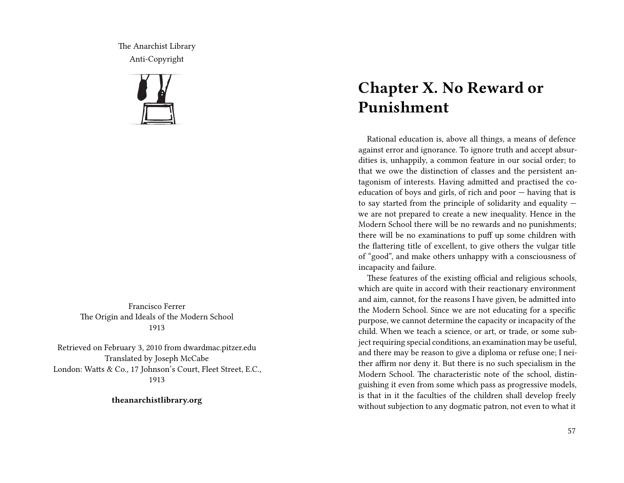The Anarchist Library Anti-Copyright



Francisco Ferrer The Origin and Ideals of the Modern School 1913

Retrieved on February 3, 2010 from dwardmac.pitzer.edu Translated by Joseph McCabe London: Watts & Co., 17 Johnson's Court, Fleet Street, E.C., 1913

**theanarchistlibrary.org**

## **Chapter X. No Reward or Punishment**

Rational education is, above all things, a means of defence against error and ignorance. To ignore truth and accept absurdities is, unhappily, a common feature in our social order; to that we owe the distinction of classes and the persistent antagonism of interests. Having admitted and practised the coeducation of boys and girls, of rich and poor — having that is to say started from the principle of solidarity and equality we are not prepared to create a new inequality. Hence in the Modern School there will be no rewards and no punishments; there will be no examinations to puff up some children with the flattering title of excellent, to give others the vulgar title of "good", and make others unhappy with a consciousness of incapacity and failure.

These features of the existing official and religious schools, which are quite in accord with their reactionary environment and aim, cannot, for the reasons I have given, be admitted into the Modern School. Since we are not educating for a specific purpose, we cannot determine the capacity or incapacity of the child. When we teach a science, or art, or trade, or some subject requiring special conditions, an examination may be useful, and there may be reason to give a diploma or refuse one; I neither affirm nor deny it. But there is no such specialism in the Modern School. The characteristic note of the school, distinguishing it even from some which pass as progressive models, is that in it the faculties of the children shall develop freely without subjection to any dogmatic patron, not even to what it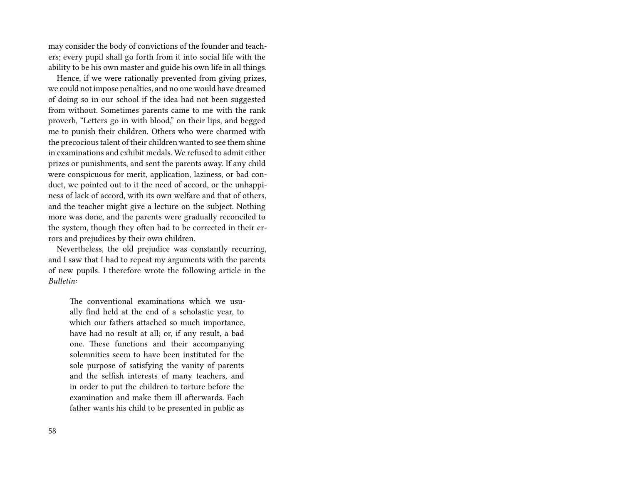may consider the body of convictions of the founder and teachers; every pupil shall go forth from it into social life with the ability to be his own master and guide his own life in all things.

Hence, if we were rationally prevented from giving prizes, we could not impose penalties, and no one would have dreamed of doing so in our school if the idea had not been suggested from without. Sometimes parents came to me with the rank proverb, "Letters go in with blood," on their lips, and begged me to punish their children. Others who were charmed with the precocious talent of their children wanted to see them shine in examinations and exhibit medals. We refused to admit either prizes or punishments, and sent the parents away. If any child were conspicuous for merit, application, laziness, or bad conduct, we pointed out to it the need of accord, or the unhappiness of lack of accord, with its own welfare and that of others, and the teacher might give a lecture on the subject. Nothing more was done, and the parents were gradually reconciled to the system, though they often had to be corrected in their errors and prejudices by their own children.

Nevertheless, the old prejudice was constantly recurring, and I saw that I had to repeat my arguments with the parents of new pupils. I therefore wrote the following article in the *Bulletin:*

The conventional examinations which we usually find held at the end of a scholastic year, to which our fathers attached so much importance, have had no result at all; or, if any result, a bad one. These functions and their accompanying solemnities seem to have been instituted for the sole purpose of satisfying the vanity of parents and the selfish interests of many teachers, and in order to put the children to torture before the examination and make them ill afterwards. Each father wants his child to be presented in public as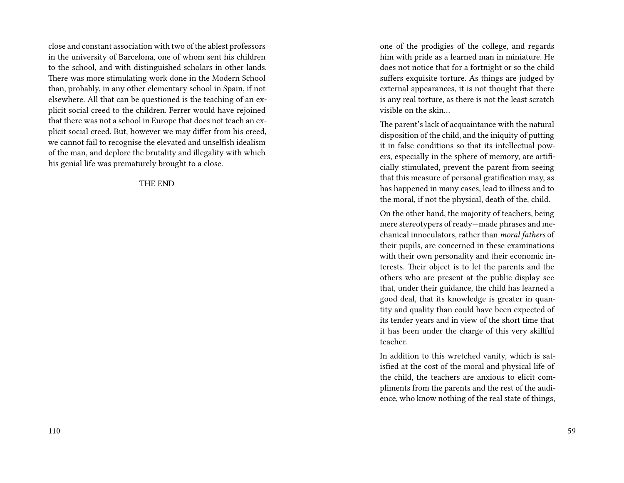close and constant association with two of the ablest professors in the university of Barcelona, one of whom sent his children to the school, and with distinguished scholars in other lands. There was more stimulating work done in the Modern School than, probably, in any other elementary school in Spain, if not elsewhere. All that can be questioned is the teaching of an explicit social creed to the children. Ferrer would have rejoined that there was not a school in Europe that does not teach an explicit social creed. But, however we may differ from his creed, we cannot fail to recognise the elevated and unselfish idealism of the man, and deplore the brutality and illegality with which his genial life was prematurely brought to a close.

THE END

one of the prodigies of the college, and regards him with pride as a learned man in miniature. He does not notice that for a fortnight or so the child suffers exquisite torture. As things are judged by external appearances, it is not thought that there is any real torture, as there is not the least scratch visible on the skin…

The parent's lack of acquaintance with the natural disposition of the child, and the iniquity of putting it in false conditions so that its intellectual powers, especially in the sphere of memory, are artificially stimulated, prevent the parent from seeing that this measure of personal gratification may, as has happened in many cases, lead to illness and to the moral, if not the physical, death of the, child.

On the other hand, the majority of teachers, being mere stereotypers of ready—made phrases and mechanical innoculators, rather than *moral fathers* of their pupils, are concerned in these examinations with their own personality and their economic interests. Their object is to let the parents and the others who are present at the public display see that, under their guidance, the child has learned a good deal, that its knowledge is greater in quantity and quality than could have been expected of its tender years and in view of the short time that it has been under the charge of this very skillful teacher.

In addition to this wretched vanity, which is satisfied at the cost of the moral and physical life of the child, the teachers are anxious to elicit compliments from the parents and the rest of the audience, who know nothing of the real state of things,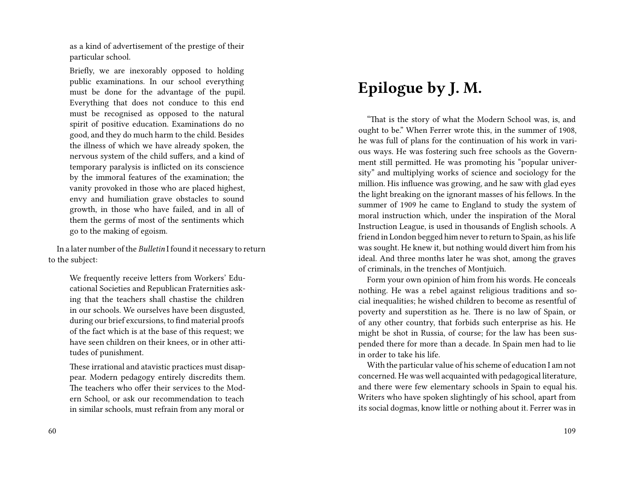as a kind of advertisement of the prestige of their particular school.

Briefly, we are inexorably opposed to holding public examinations. In our school everything must be done for the advantage of the pupil. Everything that does not conduce to this end must be recognised as opposed to the natural spirit of positive education. Examinations do no good, and they do much harm to the child. Besides the illness of which we have already spoken, the nervous system of the child suffers, and a kind of temporary paralysis is inflicted on its conscience by the immoral features of the examination; the vanity provoked in those who are placed highest, envy and humiliation grave obstacles to sound growth, in those who have failed, and in all of them the germs of most of the sentiments which go to the making of egoism.

In a later number of the *Bulletin* I found it necessary to return to the subject:

We frequently receive letters from Workers' Educational Societies and Republican Fraternities asking that the teachers shall chastise the children in our schools. We ourselves have been disgusted, during our brief excursions, to find material proofs of the fact which is at the base of this request; we have seen children on their knees, or in other attitudes of punishment.

These irrational and atavistic practices must disappear. Modern pedagogy entirely discredits them. The teachers who offer their services to the Modern School, or ask our recommendation to teach in similar schools, must refrain from any moral or

# **Epilogue by J. M.**

"That is the story of what the Modern School was, is, and ought to be." When Ferrer wrote this, in the summer of 1908, he was full of plans for the continuation of his work in various ways. He was fostering such free schools as the Government still permitted. He was promoting his "popular university" and multiplying works of science and sociology for the million. His influence was growing, and he saw with glad eyes the light breaking on the ignorant masses of his fellows. In the summer of 1909 he came to England to study the system of moral instruction which, under the inspiration of the Moral Instruction League, is used in thousands of English schools. A friend in London begged him never to return to Spain, as his life was sought. He knew it, but nothing would divert him from his ideal. And three months later he was shot, among the graves of criminals, in the trenches of Montjuich.

Form your own opinion of him from his words. He conceals nothing. He was a rebel against religious traditions and social inequalities; he wished children to become as resentful of poverty and superstition as he. There is no law of Spain, or of any other country, that forbids such enterprise as his. He might be shot in Russia, of course; for the law has been suspended there for more than a decade. In Spain men had to lie in order to take his life.

With the particular value of his scheme of education I am not concerned. He was well acquainted with pedagogical literature, and there were few elementary schools in Spain to equal his. Writers who have spoken slightingly of his school, apart from its social dogmas, know little or nothing about it. Ferrer was in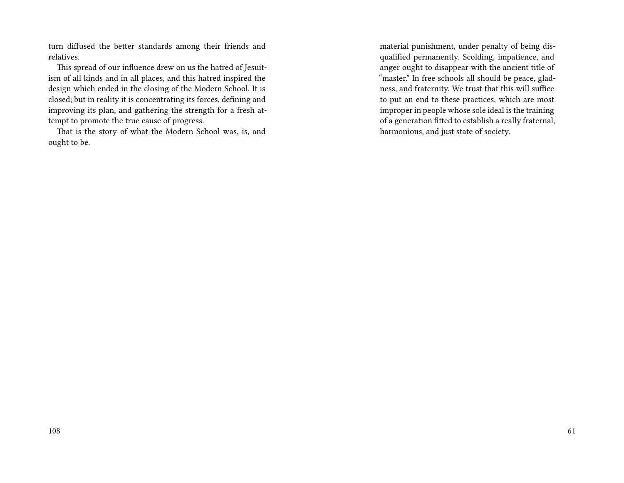turn diffused the better standards among their friends and relatives.

This spread of our influence drew on us the hatred of Jesuitism of all kinds and in all places, and this hatred inspired the design which ended in the closing of the Modern School. It is closed; but in reality it is concentrating its forces, defining and improving its plan, and gathering the strength for a fresh attempt to promote the true cause of progress.

That is the story of what the Modern School was, is, and ought to be.

material punishment, under penalty of being disqualified permanently. Scolding, impatience, and anger ought to disappear with the ancient title of "master." In free schools all should be peace, gladness, and fraternity. We trust that this will suffice to put an end to these practices, which are most improper in people whose sole ideal is the training of a generation fitted to establish a really fraternal, harmonious, and just state of society.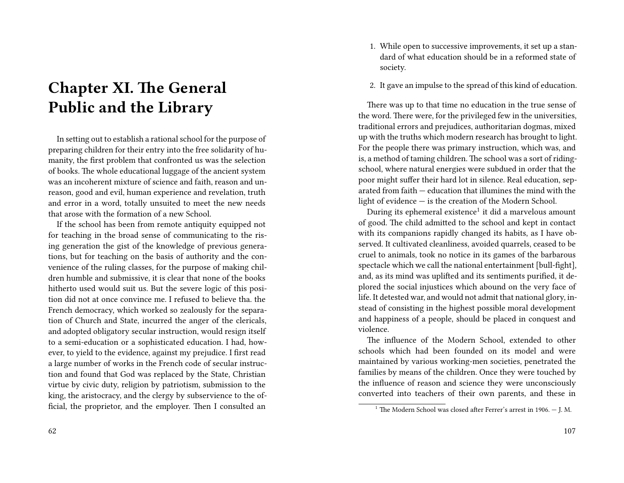# **Chapter XI. The General Public and the Library**

In setting out to establish a rational school for the purpose of preparing children for their entry into the free solidarity of humanity, the first problem that confronted us was the selection of books. The whole educational luggage of the ancient system was an incoherent mixture of science and faith, reason and unreason, good and evil, human experience and revelation, truth and error in a word, totally unsuited to meet the new needs that arose with the formation of a new School.

If the school has been from remote antiquity equipped not for teaching in the broad sense of communicating to the rising generation the gist of the knowledge of previous generations, but for teaching on the basis of authority and the convenience of the ruling classes, for the purpose of making children humble and submissive, it is clear that none of the books hitherto used would suit us. But the severe logic of this position did not at once convince me. I refused to believe tha. the French democracy, which worked so zealously for the separation of Church and State, incurred the anger of the clericals, and adopted obligatory secular instruction, would resign itself to a semi-education or a sophisticated education. I had, however, to yield to the evidence, against my prejudice. I first read a large number of works in the French code of secular instruction and found that God was replaced by the State, Christian virtue by civic duty, religion by patriotism, submission to the king, the aristocracy, and the clergy by subservience to the official, the proprietor, and the employer. Then I consulted an

- 1. While open to successive improvements, it set up a standard of what education should be in a reformed state of society.
- 2. It gave an impulse to the spread of this kind of education.

There was up to that time no education in the true sense of the word. There were, for the privileged few in the universities, traditional errors and prejudices, authoritarian dogmas, mixed up with the truths which modern research has brought to light. For the people there was primary instruction, which was, and is, a method of taming children. The school was a sort of ridingschool, where natural energies were subdued in order that the poor might suffer their hard lot in silence. Real education, separated from faith — education that illumines the mind with the light of evidence — is the creation of the Modern School.

During its ephemeral existence $^1$  it did a marvelous amount of good. The child admitted to the school and kept in contact with its companions rapidly changed its habits, as I have observed. It cultivated cleanliness, avoided quarrels, ceased to be cruel to animals, took no notice in its games of the barbarous spectacle which we call the national entertainment [bull-fight], and, as its mind was uplifted and its sentiments purified, it deplored the social injustices which abound on the very face of life. It detested war, and would not admit that national glory, instead of consisting in the highest possible moral development and happiness of a people, should be placed in conquest and violence.

The influence of the Modern School, extended to other schools which had been founded on its model and were maintained by various working-men societies, penetrated the families by means of the children. Once they were touched by the influence of reason and science they were unconsciously converted into teachers of their own parents, and these in

<sup>&</sup>lt;sup>1</sup> The Modern School was closed after Ferrer's arrest in 1906.  $-$  I. M.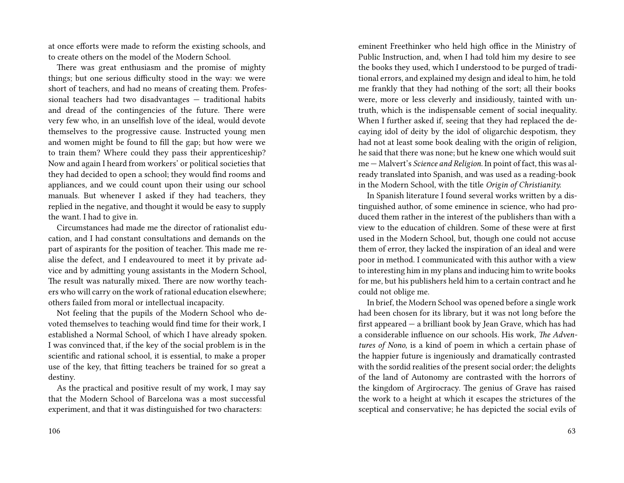at once efforts were made to reform the existing schools, and to create others on the model of the Modern School.

There was great enthusiasm and the promise of mighty things; but one serious difficulty stood in the way: we were short of teachers, and had no means of creating them. Professional teachers had two disadvantages — traditional habits and dread of the contingencies of the future. There were very few who, in an unselfish love of the ideal, would devote themselves to the progressive cause. Instructed young men and women might be found to fill the gap; but how were we to train them? Where could they pass their apprenticeship? Now and again I heard from workers' or political societies that they had decided to open a school; they would find rooms and appliances, and we could count upon their using our school manuals. But whenever I asked if they had teachers, they replied in the negative, and thought it would be easy to supply the want. I had to give in.

Circumstances had made me the director of rationalist education, and I had constant consultations and demands on the part of aspirants for the position of teacher. This made me realise the defect, and I endeavoured to meet it by private advice and by admitting young assistants in the Modern School, The result was naturally mixed. There are now worthy teachers who will carry on the work of rational education elsewhere; others failed from moral or intellectual incapacity.

Not feeling that the pupils of the Modern School who devoted themselves to teaching would find time for their work, I established a Normal School, of which I have already spoken. I was convinced that, if the key of the social problem is in the scientific and rational school, it is essential, to make a proper use of the key, that fitting teachers be trained for so great a destiny.

As the practical and positive result of my work, I may say that the Modern School of Barcelona was a most successful experiment, and that it was distinguished for two characters:

eminent Freethinker who held high office in the Ministry of Public Instruction, and, when I had told him my desire to see the books they used, which I understood to be purged of traditional errors, and explained my design and ideal to him, he told me frankly that they had nothing of the sort; all their books were, more or less cleverly and insidiously, tainted with untruth, which is the indispensable cement of social inequality. When I further asked if, seeing that they had replaced the decaying idol of deity by the idol of oligarchic despotism, they had not at least some book dealing with the origin of religion, he said that there was none; but he knew one which would suit me — Malvert's *Science and Religion*. In point of fact, this was already translated into Spanish, and was used as a reading-book in the Modern School, with the title *Origin of Christianity.*

In Spanish literature I found several works written by a distinguished author, of some eminence in science, who had produced them rather in the interest of the publishers than with a view to the education of children. Some of these were at first used in the Modern School, but, though one could not accuse them of error, they lacked the inspiration of an ideal and were poor in method. I communicated with this author with a view to interesting him in my plans and inducing him to write books for me, but his publishers held him to a certain contract and he could not oblige me.

In brief, the Modern School was opened before a single work had been chosen for its library, but it was not long before the first appeared — a brilliant book by Jean Grave, which has had a considerable influence on our schools. His work, *The Adventures of Nono*, is a kind of poem in which a certain phase of the happier future is ingeniously and dramatically contrasted with the sordid realities of the present social order; the delights of the land of Autonomy are contrasted with the horrors of the kingdom of Argirocracy. The genius of Grave has raised the work to a height at which it escapes the strictures of the sceptical and conservative; he has depicted the social evils of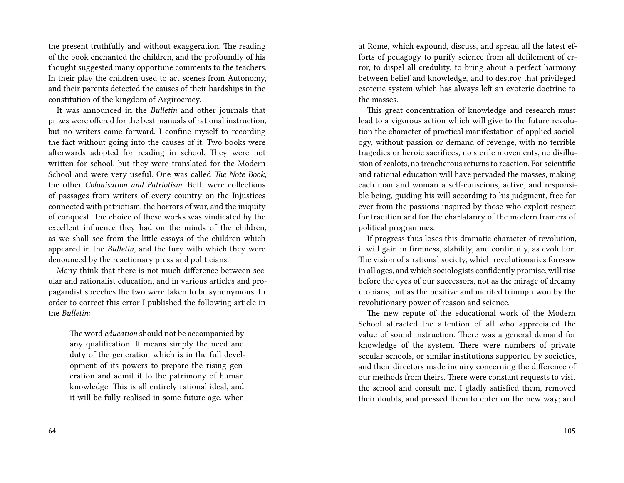the present truthfully and without exaggeration. The reading of the book enchanted the children, and the profoundly of his thought suggested many opportune comments to the teachers. In their play the children used to act scenes from Autonomy, and their parents detected the causes of their hardships in the constitution of the kingdom of Argirocracy.

It was announced in the *Bulletin* and other journals that prizes were offered for the best manuals of rational instruction, but no writers came forward. I confine myself to recording the fact without going into the causes of it. Two books were afterwards adopted for reading in school. They were not written for school, but they were translated for the Modern School and were very useful. One was called *The Note Book*, the other *Colonisation and Patriotism*. Both were collections of passages from writers of every country on the Injustices connected with patriotism, the horrors of war, and the iniquity of conquest. The choice of these works was vindicated by the excellent influence they had on the minds of the children, as we shall see from the little essays of the children which appeared in the *Bulletin*, and the fury with which they were denounced by the reactionary press and politicians.

Many think that there is not much difference between secular and rationalist education, and in various articles and propagandist speeches the two were taken to be synonymous. In order to correct this error I published the following article in the *Bulletin*:

The word *education* should not be accompanied by any qualification. It means simply the need and duty of the generation which is in the full development of its powers to prepare the rising generation and admit it to the patrimony of human knowledge. This is all entirely rational ideal, and it will be fully realised in some future age, when at Rome, which expound, discuss, and spread all the latest efforts of pedagogy to purify science from all defilement of error, to dispel all credulity, to bring about a perfect harmony between belief and knowledge, and to destroy that privileged esoteric system which has always left an exoteric doctrine to the masses.

This great concentration of knowledge and research must lead to a vigorous action which will give to the future revolution the character of practical manifestation of applied sociology, without passion or demand of revenge, with no terrible tragedies or heroic sacrifices, no sterile movements, no disillusion of zealots, no treacherous returns to reaction. For scientific and rational education will have pervaded the masses, making each man and woman a self-conscious, active, and responsible being, guiding his will according to his judgment, free for ever from the passions inspired by those who exploit respect for tradition and for the charlatanry of the modern framers of political programmes.

If progress thus loses this dramatic character of revolution, it will gain in firmness, stability, and continuity, as evolution. The vision of a rational society, which revolutionaries foresaw in all ages, and which sociologists confidently promise, will rise before the eyes of our successors, not as the mirage of dreamy utopians, but as the positive and merited triumph won by the revolutionary power of reason and science.

The new repute of the educational work of the Modern School attracted the attention of all who appreciated the value of sound instruction. There was a general demand for knowledge of the system. There were numbers of private secular schools, or similar institutions supported by societies, and their directors made inquiry concerning the difference of our methods from theirs. There were constant requests to visit the school and consult me. I gladly satisfied them, removed their doubts, and pressed them to enter on the new way; and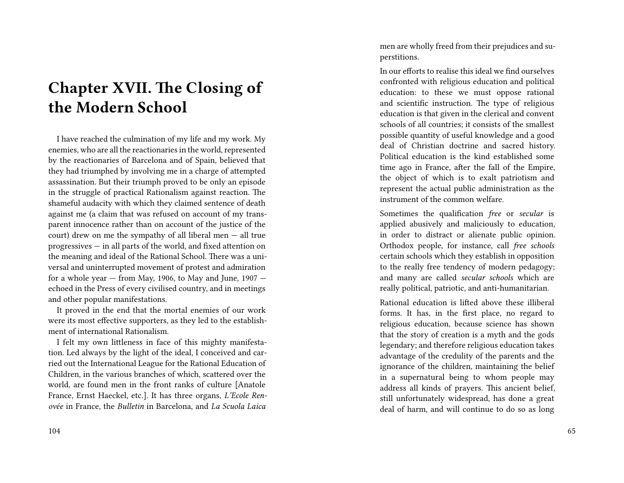## **Chapter XVII. The Closing of the Modern School**

I have reached the culmination of my life and my work. My enemies, who are all the reactionaries in the world, represented by the reactionaries of Barcelona and of Spain, believed that they had triumphed by involving me in a charge of attempted assassination. But their triumph proved to be only an episode in the struggle of practical Rationalism against reaction. The shameful audacity with which they claimed sentence of death against me (a claim that was refused on account of my transparent innocence rather than on account of the justice of the court) drew on me the sympathy of all liberal men — all true progressives — in all parts of the world, and fixed attention on the meaning and ideal of the Rational School. There was a universal and uninterrupted movement of protest and admiration for a whole year  $-$  from May, 1906, to May and June, 1907  $$ echoed in the Press of every civilised country, and in meetings and other popular manifestations.

It proved in the end that the mortal enemies of our work were its most effective supporters, as they led to the establishment of international Rationalism.

I felt my own littleness in face of this mighty manifestation. Led always by the light of the ideal, I conceived and carried out the International League for the Rational Education of Children, in the various branches of which, scattered over the world, are found men in the front ranks of culture [Anatole France, Ernst Haeckel, etc.]. It has three organs, *L'Ecole Renovée* in France, the *Bulletin* in Barcelona, and *La Scuola Laica*

men are wholly freed from their prejudices and superstitions.

In our efforts to realise this ideal we find ourselves confronted with religious education and political education: to these we must oppose rational and scientific instruction. The type of religious education is that given in the clerical and convent schools of all countries; it consists of the smallest possible quantity of useful knowledge and a good deal of Christian doctrine and sacred history. Political education is the kind established some time ago in France, after the fall of the Empire, the object of which is to exalt patriotism and represent the actual public administration as the instrument of the common welfare.

Sometimes the qualification *free* or *secular* is applied abusively and maliciously to education, in order to distract or alienate public opinion. Orthodox people, for instance, call *free schools* certain schools which they establish in opposition to the really free tendency of modern pedagogy; and many are called *secular schools* which are really political, patriotic, and anti-humanitarian.

Rational education is lifted above these illiberal forms. It has, in the first place, no regard to religious education, because science has shown that the story of creation is a myth and the gods legendary; and therefore religious education takes advantage of the credulity of the parents and the ignorance of the children, maintaining the belief in a supernatural being to whom people may address all kinds of prayers. This ancient belief, still unfortunately widespread, has done a great deal of harm, and will continue to do so as long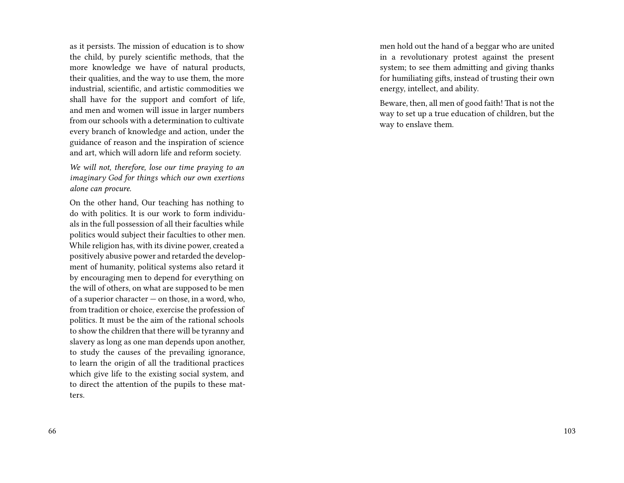as it persists. The mission of education is to show the child, by purely scientific methods, that the more knowledge we have of natural products, their qualities, and the way to use them, the more industrial, scientific, and artistic commodities we shall have for the support and comfort of life, and men and women will issue in larger numbers from our schools with a determination to cultivate every branch of knowledge and action, under the guidance of reason and the inspiration of science and art, which will adorn life and reform society.

*We will not, therefore, lose our time praying to an imaginary God for things which our own exertions alone can procure.*

On the other hand, Our teaching has nothing to do with politics. It is our work to form individuals in the full possession of all their faculties while politics would subject their faculties to other men. While religion has, with its divine power, created a positively abusive power and retarded the development of humanity, political systems also retard it by encouraging men to depend for everything on the will of others, on what are supposed to be men of a superior character — on those, in a word, who, from tradition or choice, exercise the profession of politics. It must be the aim of the rational schools to show the children that there will be tyranny and slavery as long as one man depends upon another, to study the causes of the prevailing ignorance, to learn the origin of all the traditional practices which give life to the existing social system, and to direct the attention of the pupils to these matters.

men hold out the hand of a beggar who are united in a revolutionary protest against the present system; to see them admitting and giving thanks for humiliating gifts, instead of trusting their own energy, intellect, and ability.

Beware, then, all men of good faith! That is not the way to set up a true education of children, but the way to enslave them.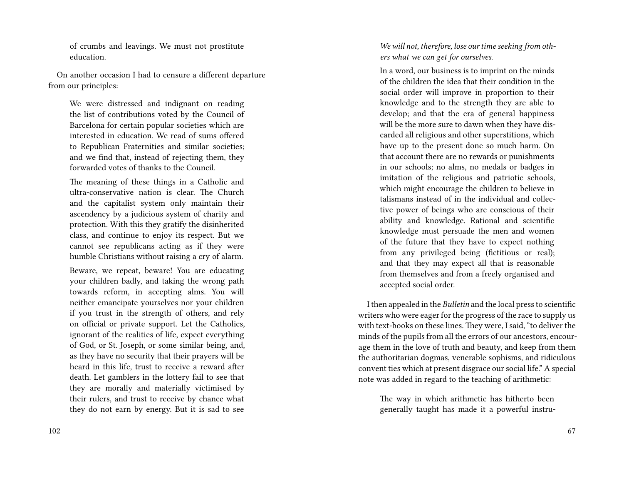of crumbs and leavings. We must not prostitute education.

On another occasion I had to censure a different departure from our principles:

We were distressed and indignant on reading the list of contributions voted by the Council of Barcelona for certain popular societies which are interested in education. We read of sums offered to Republican Fraternities and similar societies; and we find that, instead of rejecting them, they forwarded votes of thanks to the Council.

The meaning of these things in a Catholic and ultra-conservative nation is clear. The Church and the capitalist system only maintain their ascendency by a judicious system of charity and protection. With this they gratify the disinherited class, and continue to enjoy its respect. But we cannot see republicans acting as if they were humble Christians without raising a cry of alarm.

Beware, we repeat, beware! You are educating your children badly, and taking the wrong path towards reform, in accepting alms. You will neither emancipate yourselves nor your children if you trust in the strength of others, and rely on official or private support. Let the Catholics, ignorant of the realities of life, expect everything of God, or St. Joseph, or some similar being, and, as they have no security that their prayers will be heard in this life, trust to receive a reward after death. Let gamblers in the lottery fail to see that they are morally and materially victimised by their rulers, and trust to receive by chance what they do not earn by energy. But it is sad to see

*We will not, therefore, lose our time seeking from others what we can get for ourselves.*

In a word, our business is to imprint on the minds of the children the idea that their condition in the social order will improve in proportion to their knowledge and to the strength they are able to develop; and that the era of general happiness will be the more sure to dawn when they have discarded all religious and other superstitions, which have up to the present done so much harm. On that account there are no rewards or punishments in our schools; no alms, no medals or badges in imitation of the religious and patriotic schools, which might encourage the children to believe in talismans instead of in the individual and collective power of beings who are conscious of their ability and knowledge. Rational and scientific knowledge must persuade the men and women of the future that they have to expect nothing from any privileged being (fictitious or real); and that they may expect all that is reasonable from themselves and from a freely organised and accepted social order.

I then appealed in the *Bulletin* and the local press to scientific writers who were eager for the progress of the race to supply us with text-books on these lines. They were, I said, "to deliver the minds of the pupils from all the errors of our ancestors, encourage them in the love of truth and beauty, and keep from them the authoritarian dogmas, venerable sophisms, and ridiculous convent ties which at present disgrace our social life." A special note was added in regard to the teaching of arithmetic:

The way in which arithmetic has hitherto been generally taught has made it a powerful instru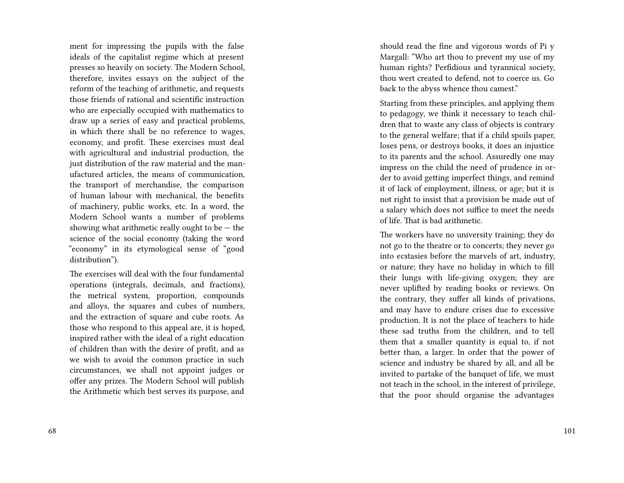ment for impressing the pupils with the false ideals of the capitalist regime which at present presses so heavily on society. The Modern School, therefore, invites essays on the subject of the reform of the teaching of arithmetic, and requests those friends of rational and scientific instruction who are especially occupied with mathematics to draw up a series of easy and practical problems, in which there shall be no reference to wages, economy, and profit. These exercises must deal with agricultural and industrial production, the just distribution of the raw material and the manufactured articles, the means of communication, the transport of merchandise, the comparison of human labour with mechanical, the benefits of machinery, public works, etc. In a word, the Modern School wants a number of problems showing what arithmetic really ought to be  $-$  the science of the social economy (taking the word "economy" in its etymological sense of "good distribution").

The exercises will deal with the four fundamental operations (integrals, decimals, and fractions), the metrical system, proportion, compounds and alloys, the squares and cubes of numbers, and the extraction of square and cube roots. As those who respond to this appeal are, it is hoped, inspired rather with the ideal of a right education of children than with the desire of profit, and as we wish to avoid the common practice in such circumstances, we shall not appoint judges or offer any prizes. The Modern School will publish the Arithmetic which best serves its purpose, and

should read the fine and vigorous words of Pi y Margall: "Who art thou to prevent my use of my human rights? Perfidious and tyrannical society, thou wert created to defend, not to coerce us. Go back to the abyss whence thou camest."

Starting from these principles, and applying them to pedagogy, we think it necessary to teach children that to waste any class of objects is contrary to the general welfare; that if a child spoils paper, loses pens, or destroys books, it does an injustice to its parents and the school. Assuredly one may impress on the child the need of prudence in order to avoid getting imperfect things, and remind it of lack of employment, illness, or age; but it is not right to insist that a provision be made out of a salary which does not suffice to meet the needs of life. That is bad arithmetic.

The workers have no university training; they do not go to the theatre or to concerts; they never go into ecstasies before the marvels of art, industry, or nature; they have no holiday in which to fill their lungs with life-giving oxygen; they are never uplifted by reading books or reviews. On the contrary, they suffer all kinds of privations, and may have to endure crises due to excessive production. It is not the place of teachers to hide these sad truths from the children, and to tell them that a smaller quantity is equal to, if not better than, a larger. In order that the power of science and industry be shared by all, and all be invited to partake of the banquet of life, we must not teach in the school, in the interest of privilege, that the poor should organise the advantages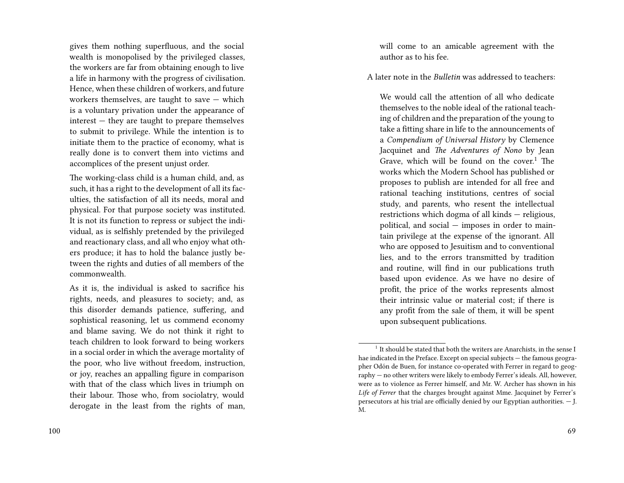gives them nothing superfluous, and the social wealth is monopolised by the privileged classes, the workers are far from obtaining enough to live a life in harmony with the progress of civilisation. Hence, when these children of workers, and future workers themselves, are taught to save — which is a voluntary privation under the appearance of interest — they are taught to prepare themselves to submit to privilege. While the intention is to initiate them to the practice of economy, what is really done is to convert them into victims and accomplices of the present unjust order.

The working-class child is a human child, and, as such, it has a right to the development of all its faculties, the satisfaction of all its needs, moral and physical. For that purpose society was instituted. It is not its function to repress or subject the individual, as is selfishly pretended by the privileged and reactionary class, and all who enjoy what others produce; it has to hold the balance justly between the rights and duties of all members of the commonwealth.

As it is, the individual is asked to sacrifice his rights, needs, and pleasures to society; and, as this disorder demands patience, suffering, and sophistical reasoning, let us commend economy and blame saving. We do not think it right to teach children to look forward to being workers in a social order in which the average mortality of the poor, who live without freedom, instruction, or joy, reaches an appalling figure in comparison with that of the class which lives in triumph on their labour. Those who, from sociolatry, would derogate in the least from the rights of man,

will come to an amicable agreement with the author as to his fee.

A later note in the *Bulletin* was addressed to teachers:

We would call the attention of all who dedicate themselves to the noble ideal of the rational teaching of children and the preparation of the young to take a fitting share in life to the announcements of a *Compendium of Universal History* by Clemence Jacquinet and *The Adventures of Nono* by Jean Grave, which will be found on the cover. $1$  The works which the Modern School has published or proposes to publish are intended for all free and rational teaching institutions, centres of social study, and parents, who resent the intellectual restrictions which dogma of all kinds — religious, political, and social — imposes in order to maintain privilege at the expense of the ignorant. All who are opposed to Jesuitism and to conventional lies, and to the errors transmitted by tradition and routine, will find in our publications truth based upon evidence. As we have no desire of profit, the price of the works represents almost their intrinsic value or material cost; if there is any profit from the sale of them, it will be spent upon subsequent publications.

 $^{\rm 1}$  It should be stated that both the writers are Anarchists, in the sense I hae indicated in the Preface. Except on special subjects — the famous geographer Odón de Buen, for instance co-operated with Ferrer in regard to geography — no other writers were likely to embody Ferrer's ideals. All, however, were as to violence as Ferrer himself, and Mr. W. Archer has shown in his *Life of Ferrer* that the charges brought against Mme. Jacquinet by Ferrer's persecutors at his trial are officially denied by our Egyptian authorities. — J. M.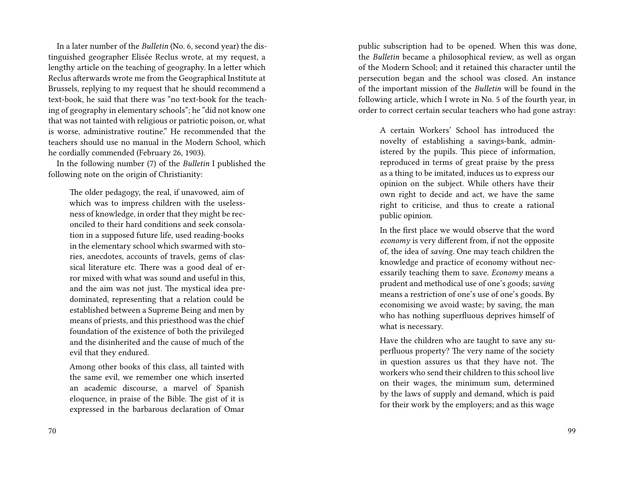In a later number of the *Bulletin* (No. 6, second year) the distinguished geographer Elisée Reclus wrote, at my request, a lengthy article on the teaching of geography. In a letter which Reclus afterwards wrote me from the Geographical Institute at Brussels, replying to my request that he should recommend a text-book, he said that there was "no text-book for the teaching of geography in elementary schools"; he "did not know one that was not tainted with religious or patriotic poison, or, what is worse, administrative routine." He recommended that the teachers should use no manual in the Modern School, which he cordially commended (February 26, 1903).

In the following number (7) of the *Bulletin* I published the following note on the origin of Christianity:

The older pedagogy, the real, if unavowed, aim of which was to impress children with the uselessness of knowledge, in order that they might be reconciled to their hard conditions and seek consolation in a supposed future life, used reading-books in the elementary school which swarmed with stories, anecdotes, accounts of travels, gems of classical literature etc. There was a good deal of error mixed with what was sound and useful in this, and the aim was not just. The mystical idea predominated, representing that a relation could be established between a Supreme Being and men by means of priests, and this priesthood was the chief foundation of the existence of both the privileged and the disinherited and the cause of much of the evil that they endured.

Among other books of this class, all tainted with the same evil, we remember one which inserted an academic discourse, a marvel of Spanish eloquence, in praise of the Bible. The gist of it is expressed in the barbarous declaration of Omar public subscription had to be opened. When this was done, the *Bulletin* became a philosophical review, as well as organ of the Modern School; and it retained this character until the persecution began and the school was closed. An instance of the important mission of the *Bulletin* will be found in the following article, which I wrote in No. 5 of the fourth year, in order to correct certain secular teachers who had gone astray:

A certain Workers' School has introduced the novelty of establishing a savings-bank, administered by the pupils. This piece of information, reproduced in terms of great praise by the press as a thing to be imitated, induces us to express our opinion on the subject. While others have their own right to decide and act, we have the same right to criticise, and thus to create a rational public opinion.

In the first place we would observe that the word *economy* is very different from, if not the opposite of, the idea of *saving.* One may teach children the knowledge and practice of economy without necessarily teaching them to save. *Economy* means a prudent and methodical use of one's goods; *saving* means a restriction of one's use of one's goods. By economising we avoid waste; by saving, the man who has nothing superfluous deprives himself of what is necessary.

Have the children who are taught to save any superfluous property? The very name of the society in question assures us that they have not. The workers who send their children to this school live on their wages, the minimum sum, determined by the laws of supply and demand, which is paid for their work by the employers; and as this wage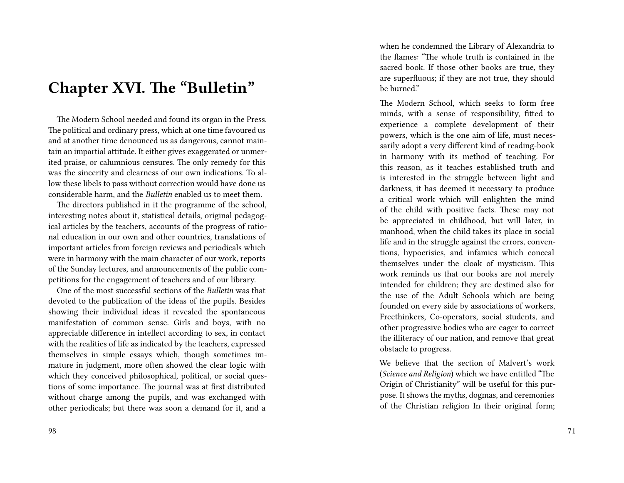#### **Chapter XVI. The "Bulletin"**

The Modern School needed and found its organ in the Press. The political and ordinary press, which at one time favoured us and at another time denounced us as dangerous, cannot maintain an impartial attitude. It either gives exaggerated or unmerited praise, or calumnious censures. The only remedy for this was the sincerity and clearness of our own indications. To allow these libels to pass without correction would have done us considerable harm, and the *Bulletin* enabled us to meet them.

The directors published in it the programme of the school, interesting notes about it, statistical details, original pedagogical articles by the teachers, accounts of the progress of rational education in our own and other countries, translations of important articles from foreign reviews and periodicals which were in harmony with the main character of our work, reports of the Sunday lectures, and announcements of the public competitions for the engagement of teachers and of our library.

One of the most successful sections of the *Bulletin* was that devoted to the publication of the ideas of the pupils. Besides showing their individual ideas it revealed the spontaneous manifestation of common sense. Girls and boys, with no appreciable difference in intellect according to sex, in contact with the realities of life as indicated by the teachers, expressed themselves in simple essays which, though sometimes immature in judgment, more often showed the clear logic with which they conceived philosophical, political, or social questions of some importance. The journal was at first distributed without charge among the pupils, and was exchanged with other periodicals; but there was soon a demand for it, and a

98

when he condemned the Library of Alexandria to the flames: "The whole truth is contained in the sacred book. If those other books are true, they are superfluous; if they are not true, they should be burned."

The Modern School, which seeks to form free minds, with a sense of responsibility, fitted to experience a complete development of their powers, which is the one aim of life, must necessarily adopt a very different kind of reading-book in harmony with its method of teaching. For this reason, as it teaches established truth and is interested in the struggle between light and darkness, it has deemed it necessary to produce a critical work which will enlighten the mind of the child with positive facts. These may not be appreciated in childhood, but will later, in manhood, when the child takes its place in social life and in the struggle against the errors, conventions, hypocrisies, and infamies which conceal themselves under the cloak of mysticism. This work reminds us that our books are not merely intended for children; they are destined also for the use of the Adult Schools which are being founded on every side by associations of workers, Freethinkers, Co-operators, social students, and other progressive bodies who are eager to correct the illiteracy of our nation, and remove that great obstacle to progress.

We believe that the section of Malvert's work (*Science and Religion*) which we have entitled "The Origin of Christianity" will be useful for this purpose. It shows the myths, dogmas, and ceremonies of the Christian religion In their original form;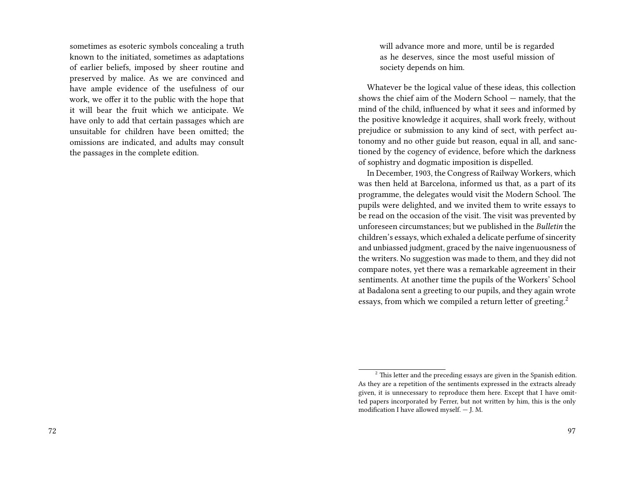sometimes as esoteric symbols concealing a truth known to the initiated, sometimes as adaptations of earlier beliefs, imposed by sheer routine and preserved by malice. As we are convinced and have ample evidence of the usefulness of our work, we offer it to the public with the hope that it will bear the fruit which we anticipate. We have only to add that certain passages which are unsuitable for children have been omitted; the omissions are indicated, and adults may consult the passages in the complete edition.

will advance more and more, until be is regarded as he deserves, since the most useful mission of society depends on him.

Whatever be the logical value of these ideas, this collection shows the chief aim of the Modern School — namely, that the mind of the child, influenced by what it sees and informed by the positive knowledge it acquires, shall work freely, without prejudice or submission to any kind of sect, with perfect autonomy and no other guide but reason, equal in all, and sanctioned by the cogency of evidence, before which the darkness of sophistry and dogmatic imposition is dispelled.

In December, 1903, the Congress of Railway Workers, which was then held at Barcelona, informed us that, as a part of its programme, the delegates would visit the Modern School. The pupils were delighted, and we invited them to write essays to be read on the occasion of the visit. The visit was prevented by unforeseen circumstances; but we published in the *Bulletin* the children's essays, which exhaled a delicate perfume of sincerity and unbiassed judgment, graced by the naive ingenuousness of the writers. No suggestion was made to them, and they did not compare notes, yet there was a remarkable agreement in their sentiments. At another time the pupils of the Workers' School at Badalona sent a greeting to our pupils, and they again wrote essays, from which we compiled a return letter of greeting.<sup>2</sup>

 $2^2$  This letter and the preceding essays are given in the Spanish edition. As they are a repetition of the sentiments expressed in the extracts already given, it is unnecessary to reproduce them here. Except that I have omitted papers incorporated by Ferrer, but not written by him, this is the only modification I have allowed myself. — J. M.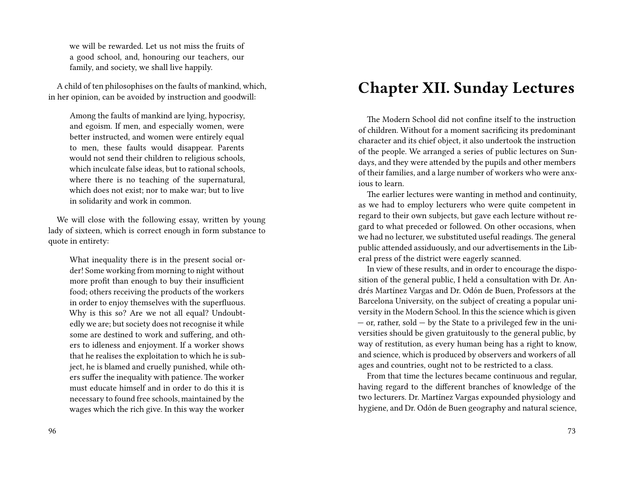we will be rewarded. Let us not miss the fruits of a good school, and, honouring our teachers, our family, and society, we shall live happily.

A child of ten philosophises on the faults of mankind, which, in her opinion, can be avoided by instruction and goodwill:

Among the faults of mankind are lying, hypocrisy, and egoism. If men, and especially women, were better instructed, and women were entirely equal to men, these faults would disappear. Parents would not send their children to religious schools, which inculcate false ideas, but to rational schools, where there is no teaching of the supernatural, which does not exist; nor to make war; but to live in solidarity and work in common.

We will close with the following essay, written by young lady of sixteen, which is correct enough in form substance to quote in entirety:

What inequality there is in the present social order! Some working from morning to night without more profit than enough to buy their insufficient food; others receiving the products of the workers in order to enjoy themselves with the superfluous. Why is this so? Are we not all equal? Undoubtedly we are; but society does not recognise it while some are destined to work and suffering, and others to idleness and enjoyment. If a worker shows that he realises the exploitation to which he is subject, he is blamed and cruelly punished, while others suffer the inequality with patience. The worker must educate himself and in order to do this it is necessary to found free schools, maintained by the wages which the rich give. In this way the worker

### **Chapter XII. Sunday Lectures**

The Modern School did not confine itself to the instruction of children. Without for a moment sacrificing its predominant character and its chief object, it also undertook the instruction of the people. We arranged a series of public lectures on Sundays, and they were attended by the pupils and other members of their families, and a large number of workers who were anxious to learn.

The earlier lectures were wanting in method and continuity, as we had to employ lecturers who were quite competent in regard to their own subjects, but gave each lecture without regard to what preceded or followed. On other occasions, when we had no lecturer, we substituted useful readings. The general public attended assiduously, and our advertisements in the Liberal press of the district were eagerly scanned.

In view of these results, and in order to encourage the disposition of the general public, I held a consultation with Dr. Andrés Martínez Vargas and Dr. Odón de Buen, Professors at the Barcelona University, on the subject of creating a popular university in the Modern School. In this the science which is given — or, rather, sold — by the State to a privileged few in the universities should be given gratuitously to the general public, by way of restitution, as every human being has a right to know, and science, which is produced by observers and workers of all ages and countries, ought not to be restricted to a class.

From that time the lectures became continuous and regular, having regard to the different branches of knowledge of the two lecturers. Dr. Martínez Vargas expounded physiology and hygiene, and Dr. Odón de Buen geography and natural science,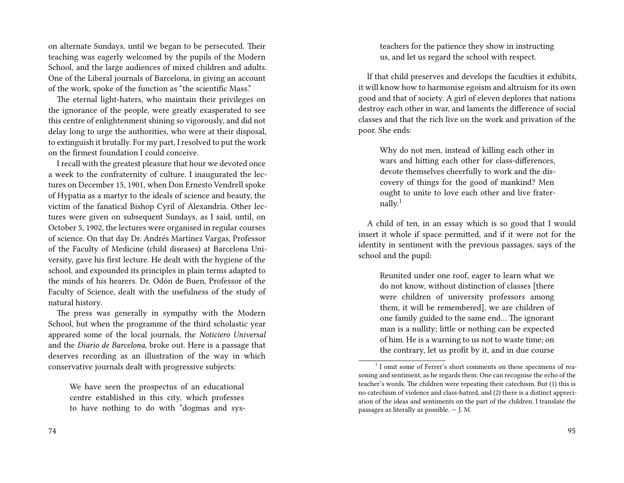on alternate Sundays, until we began to be persecuted. Their teaching was eagerly welcomed by the pupils of the Modern School, and the large audiences of mixed children and adults. One of the Liberal journals of Barcelona, in giving an account of the work, spoke of the function as "the scientific Mass."

The eternal light-haters, who maintain their privileges on the ignorance of the people, were greatly exasperated to see this centre of enlightenment shining so vigorously, and did not delay long to urge the authorities, who were at their disposal, to extinguish it brutally. For my part, I resolved to put the work on the firmest foundation I could conceive.

I recall with the greatest pleasure that hour we devoted once a week to the confraternity of culture. I inaugurated the lectures on December 15, 1901, when Don Ernesto Vendrell spoke of Hypatia as a martyr to the ideals of science and beauty, the victim of the fanatical Bishop Cyril of Alexandria. Other lectures were given on subsequent Sundays, as I said, until, on October 5, 1902, the lectures were organised in regular courses of science. On that day Dr. Andrés Martínez Vargas, Professor of the Faculty of Medicine (child diseases) at Barcelona University, gave his first lecture. He dealt with the hygiene of the school, and expounded its principles in plain terms adapted to the minds of his hearers. Dr. Odón de Buen, Professor of the Faculty of Science, dealt with the usefulness of the study of natural history.

The press was generally in sympathy with the Modern School, but when the programme of the third scholastic year appeared some of the local journals, the *Noticiero Universal* and the *Diario de Barcelona*, broke out. Here is a passage that deserves recording as an illustration of the way in which conservative journals dealt with progressive subjects:

We have seen the prospectus of an educational centre established in this city, which professes to have nothing to do with "dogmas and sys-

74

teachers for the patience they show in instructing us, and let us regard the school with respect.

If that child preserves and develops the faculties it exhibits, it will know how to harmonise egoism and altruism for its own good and that of society. A girl of eleven deplores that nations destroy each other in war, and laments the difference of social classes and that the rich live on the work and privation of the poor. She ends:

Why do not men, instead of killing each other in wars and hitting each other for class-differences, devote themselves cheerfully to work and the discovery of things for the good of mankind? Men ought to unite to love each other and live frater $n$ ally.<sup>1</sup>

A child of ten, in an essay which is so good that I would insert it whole if space permitted, and if it were not for the identity in sentiment with the previous passages, says of the school and the pupil:

Reunited under one roof, eager to learn what we do not know, without distinction of classes [there were children of university professors among them, it will be remembered], we are children of one family guided to the same end… The ignorant man is a nullity; little or nothing can be expected of him. He is a warning to us not to waste time; on the contrary, let us profit by it, and in due course

<sup>&</sup>lt;sup>1</sup> I omit some of Ferrer's short comments on these specimens of reasoning and sentiment, as he regards them. One can recognise the echo of the teacher's words. The children were repeating their catechism. But (1) this is no catechism of violence and class-hatred, and (2) there is a distinct appreciation of the ideas and sentiments on the part of the children. I translate the passages as literally as possible. — J. M.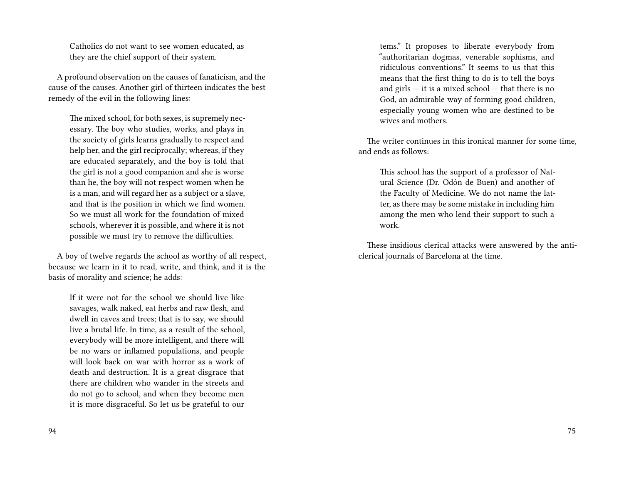Catholics do not want to see women educated, as they are the chief support of their system.

A profound observation on the causes of fanaticism, and the cause of the causes. Another girl of thirteen indicates the best remedy of the evil in the following lines:

The mixed school, for both sexes, is supremely necessary. The boy who studies, works, and plays in the society of girls learns gradually to respect and help her, and the girl reciprocally; whereas, if they are educated separately, and the boy is told that the girl is not a good companion and she is worse than he, the boy will not respect women when he is a man, and will regard her as a subject or a slave, and that is the position in which we find women. So we must all work for the foundation of mixed schools, wherever it is possible, and where it is not possible we must try to remove the difficulties.

A boy of twelve regards the school as worthy of all respect, because we learn in it to read, write, and think, and it is the basis of morality and science; he adds:

If it were not for the school we should live like savages, walk naked, eat herbs and raw flesh, and dwell in caves and trees; that is to say, we should live a brutal life. In time, as a result of the school, everybody will be more intelligent, and there will be no wars or inflamed populations, and people will look back on war with horror as a work of death and destruction. It is a great disgrace that there are children who wander in the streets and do not go to school, and when they become men it is more disgraceful. So let us be grateful to our

tems." It proposes to liberate everybody from "authoritarian dogmas, venerable sophisms, and ridiculous conventions." It seems to us that this means that the first thing to do is to tell the boys and  $girls - it$  is a mixed school  $-$  that there is no God, an admirable way of forming good children, especially young women who are destined to be wives and mothers.

The writer continues in this ironical manner for some time, and ends as follows:

This school has the support of a professor of Natural Science (Dr. Odón de Buen) and another of the Faculty of Medicine. We do not name the latter, as there may be some mistake in including him among the men who lend their support to such a work.

These insidious clerical attacks were answered by the anticlerical journals of Barcelona at the time.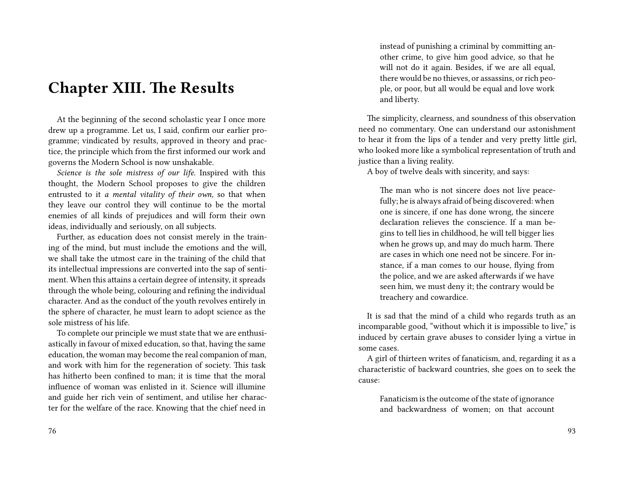#### **Chapter XIII. The Results**

At the beginning of the second scholastic year I once more drew up a programme. Let us, I said, confirm our earlier programme; vindicated by results, approved in theory and practice, the principle which from the first informed our work and governs the Modern School is now unshakable.

*Science is the sole mistress of our life.* Inspired with this thought, the Modern School proposes to give the children entrusted to it *a mental vitality of their own,* so that when they leave our control they will continue to be the mortal enemies of all kinds of prejudices and will form their own ideas, individually and seriously, on all subjects.

Further, as education does not consist merely in the training of the mind, but must include the emotions and the will, we shall take the utmost care in the training of the child that its intellectual impressions are converted into the sap of sentiment. When this attains a certain degree of intensity, it spreads through the whole being, colouring and refining the individual character. And as the conduct of the youth revolves entirely in the sphere of character, he must learn to adopt science as the sole mistress of his life.

To complete our principle we must state that we are enthusiastically in favour of mixed education, so that, having the same education, the woman may become the real companion of man, and work with him for the regeneration of society. This task has hitherto been confined to man; it is time that the moral influence of woman was enlisted in it. Science will illumine and guide her rich vein of sentiment, and utilise her character for the welfare of the race. Knowing that the chief need in

76

instead of punishing a criminal by committing another crime, to give him good advice, so that he will not do it again. Besides, if we are all equal, there would be no thieves, or assassins, or rich people, or poor, but all would be equal and love work and liberty.

The simplicity, clearness, and soundness of this observation need no commentary. One can understand our astonishment to hear it from the lips of a tender and very pretty little girl, who looked more like a symbolical representation of truth and justice than a living reality.

A boy of twelve deals with sincerity, and says:

The man who is not sincere does not live peacefully; he is always afraid of being discovered: when one is sincere, if one has done wrong, the sincere declaration relieves the conscience. If a man begins to tell lies in childhood, he will tell bigger lies when he grows up, and may do much harm. There are cases in which one need not be sincere. For instance, if a man comes to our house, flying from the police, and we are asked afterwards if we have seen him, we must deny it; the contrary would be treachery and cowardice.

It is sad that the mind of a child who regards truth as an incomparable good, "without which it is impossible to live," is induced by certain grave abuses to consider lying a virtue in some cases.

A girl of thirteen writes of fanaticism, and, regarding it as a characteristic of backward countries, she goes on to seek the cause:

Fanaticism is the outcome of the state of ignorance and backwardness of women; on that account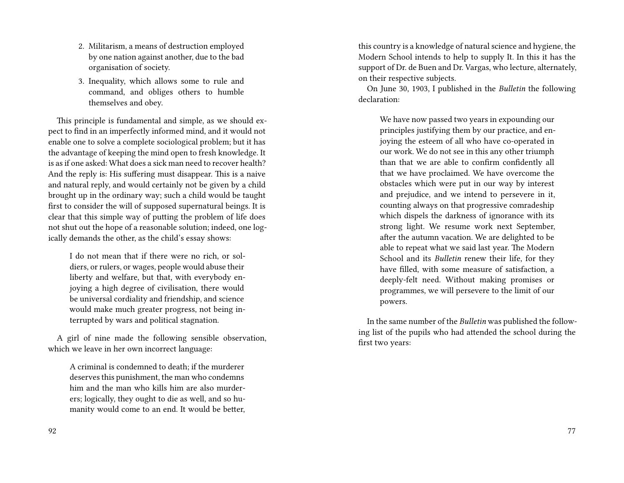- 2. Militarism, a means of destruction employed by one nation against another, due to the bad organisation of society.
- 3. Inequality, which allows some to rule and command, and obliges others to humble themselves and obey.

This principle is fundamental and simple, as we should expect to find in an imperfectly informed mind, and it would not enable one to solve a complete sociological problem; but it has the advantage of keeping the mind open to fresh knowledge. It is as if one asked: What does a sick man need to recover health? And the reply is: His suffering must disappear. This is a naive and natural reply, and would certainly not be given by a child brought up in the ordinary way; such a child would be taught first to consider the will of supposed supernatural beings. It is clear that this simple way of putting the problem of life does not shut out the hope of a reasonable solution; indeed, one logically demands the other, as the child's essay shows:

I do not mean that if there were no rich, or soldiers, or rulers, or wages, people would abuse their liberty and welfare, but that, with everybody enjoying a high degree of civilisation, there would be universal cordiality and friendship, and science would make much greater progress, not being interrupted by wars and political stagnation.

A girl of nine made the following sensible observation, which we leave in her own incorrect language:

A criminal is condemned to death; if the murderer deserves this punishment, the man who condemns him and the man who kills him are also murderers; logically, they ought to die as well, and so humanity would come to an end. It would be better, this country is a knowledge of natural science and hygiene, the Modern School intends to help to supply It. In this it has the support of Dr. de Buen and Dr. Vargas, who lecture, alternately, on their respective subjects.

On June 30, 1903, I published in the *Bulletin* the following declaration:

We have now passed two years in expounding our principles justifying them by our practice, and enjoying the esteem of all who have co-operated in our work. We do not see in this any other triumph than that we are able to confirm confidently all that we have proclaimed. We have overcome the obstacles which were put in our way by interest and prejudice, and we intend to persevere in it, counting always on that progressive comradeship which dispels the darkness of ignorance with its strong light. We resume work next September, after the autumn vacation. We are delighted to be able to repeat what we said last year. The Modern School and its *Bulletin* renew their life, for they have filled, with some measure of satisfaction, a deeply-felt need. Without making promises or programmes, we will persevere to the limit of our powers.

In the same number of the *Bulletin* was published the following list of the pupils who had attended the school during the first two years: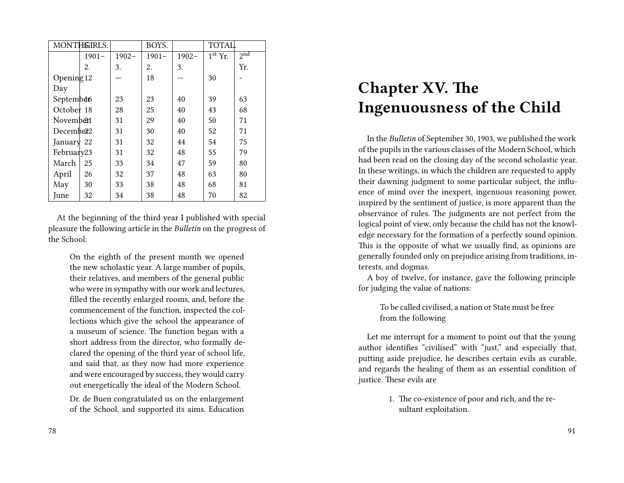| MONTHEIRLS.           |          |          | BOYS.    |          | <b>TOTAL.</b> |                            |
|-----------------------|----------|----------|----------|----------|---------------|----------------------------|
|                       | $1901 -$ | $1902 -$ | $1901 -$ | $1902 -$ | $1st$ Yr.     | $2^{\overline{\text{nd}}}$ |
|                       | 2.       | 3.       | 2.       | 3.       |               | Yr.                        |
| Opening $12$          |          |          | 18       |          | 30            |                            |
| Day                   |          |          |          |          |               |                            |
| September             |          | 23       | 23       | 40       | 39            | 63                         |
| October 18            |          | 28       | 25       | 40       | 43            | 68                         |
| Novemb <sup>21</sup>  |          | 31       | 29       | 40       | 50            | 71                         |
| December <sup>2</sup> |          | 31       | 30       | 40       | 52            | 71                         |
| January $22$          |          | 31       | 32       | 44       | 54            | 75                         |
| February23            |          | 31       | 32       | 48       | 55            | 79                         |
| March                 | 25       | 33       | 34       | 47       | 59            | 80                         |
| April                 | 26       | 32       | 37       | 48       | 63            | 80                         |
| May                   | 30       | 33       | 38       | 48       | 68            | 81                         |
| June                  | 32       | 34       | 38       | 48       | 70            | 82                         |

At the beginning of the third year I published with special pleasure the following article in the *Bulletin* on the progress of the School:

On the eighth of the present month we opened the new scholastic year. A large number of pupils, their relatives, and members of the general public who were in sympathy with our work and lectures, filled the recently enlarged rooms, and, before the commencement of the function, inspected the collections which give the school the appearance of a museum of science. The function began with a short address from the director, who formally declared the opening of the third year of school life, and said that, as they now had more experience and were encouraged by success, they would carry out energetically the ideal of the Modern School.

Dr. de Buen congratulated us on the enlargement of the School, and supported its aims. Education

### **Chapter XV. The Ingenuousness of the Child**

In the *Bulletin* of September 30, 1903, we published the work of the pupils in the various classes of the Modern School, which had been read on the closing day of the second scholastic year. In these writings, in which the children are requested to apply their dawning judgment to some particular subject, the influence of mind over the inexpert, ingenuous reasoning power, inspired by the sentiment of justice, is more apparent than the observance of rules. The judgments are not perfect from the logical point of view, only because the child has not the knowledge necessary for the formation of a perfectly sound opinion. This is the opposite of what we usually find, as opinions are generally founded only on prejudice arising from traditions, interests, and dogmas.

A boy of twelve, for instance, gave the following principle for judging the value of nations:

> To be called civilised, a nation or State must be free from the following

Let me interrupt for a moment to point out that the young author identifies "civilised" with "just," and especially that, putting aside prejudice, he describes certain evils as curable, and regards the healing of them as an essential condition of justice. These evils are

> 1. The co-existence of poor and rich, and the resultant exploitation.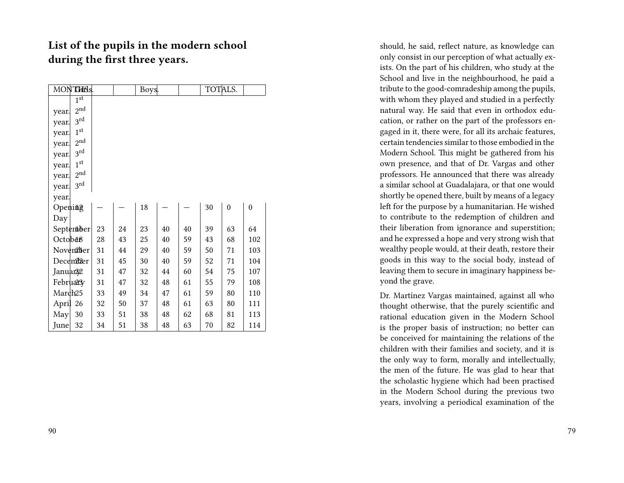#### **List of the pupils in the modern school during the first three years.**

| MONTH <sub>Bs.</sub>     |    |    | Boys. |    |    | TOTALS. |                  |                  |
|--------------------------|----|----|-------|----|----|---------|------------------|------------------|
| 1 <sup>st</sup>          |    |    |       |    |    |         |                  |                  |
| 2 <sup>nd</sup><br>year. |    |    |       |    |    |         |                  |                  |
| 3rd<br>year.             |    |    |       |    |    |         |                  |                  |
| $1^{\text{st}}$<br>year. |    |    |       |    |    |         |                  |                  |
| $2^{\text{nd}}$<br>year. |    |    |       |    |    |         |                  |                  |
| $3^{\text{rd}}$<br>year. |    |    |       |    |    |         |                  |                  |
| 1 <sup>st</sup><br>year. |    |    |       |    |    |         |                  |                  |
| 2 <sup>nd</sup><br>year. |    |    |       |    |    |         |                  |                  |
| $3^{\text{rd}}$<br>year. |    |    |       |    |    |         |                  |                  |
| year.                    |    |    |       |    |    |         |                  |                  |
| Opening                  |    |    | 18    |    |    | 30      | $\boldsymbol{0}$ | $\boldsymbol{0}$ |
| Day                      |    |    |       |    |    |         |                  |                  |
| September                | 23 | 24 | 23    | 40 | 40 | 39      | 63               | 64               |
| Octob <sub>d</sub> 8     | 28 | 43 | 25    | 40 | 59 | 43      | 68               | 102              |
| November                 | 31 | 44 | 29    | 40 | 59 | 50      | 71               | 103              |
| December                 | 31 | 45 | 30    | 40 | 59 | 52      | 71               | 104              |
| Januar <sup>22</sup>     | 31 | 47 | 32    | 44 | 60 | 54      | 75               | 107              |
| February                 | 31 | 47 | 32    | 48 | 61 | 55      | 79               | 108              |
| March <sub>25</sub>      | 33 | 49 | 34    | 47 | 61 | 59      | 80               | 110              |
| April 26                 | 32 | 50 | 37    | 48 | 61 | 63      | 80               | 111              |
| May<br>30                | 33 | 51 | 38    | 48 | 62 | 68      | 81               | 113              |
| 32<br>June               | 34 | 51 | 38    | 48 | 63 | 70      | 82               | 114              |

should, he said, reflect nature, as knowledge can only consist in our perception of what actually exists. On the part of his children, who study at the School and live in the neighbourhood, he paid a tribute to the good-comradeship among the pupils, with whom they played and studied in a perfectly natural way. He said that even in orthodox education, or rather on the part of the professors engaged in it, there were, for all its archaic features, certain tendencies similar to those embodied in the Modern School. This might be gathered from his own presence, and that of Dr. Vargas and other professors. He announced that there was already a similar school at Guadalajara, or that one would shortly be opened there, built by means of a legacy left for the purpose by a humanitarian. He wished to contribute to the redemption of children and their liberation from ignorance and superstition; and he expressed a hope and very strong wish that wealthy people would, at their death, restore their goods in this way to the social body, instead of leaving them to secure in imaginary happiness beyond the grave.

Dr. Martínez Vargas maintained, against all who thought otherwise, that the purely scientific and rational education given in the Modern School is the proper basis of instruction; no better can be conceived for maintaining the relations of the children with their families and society, and it is the only way to form, morally and intellectually, the men of the future. He was glad to hear that the scholastic hygiene which had been practised in the Modern School during the previous two years, involving a periodical examination of the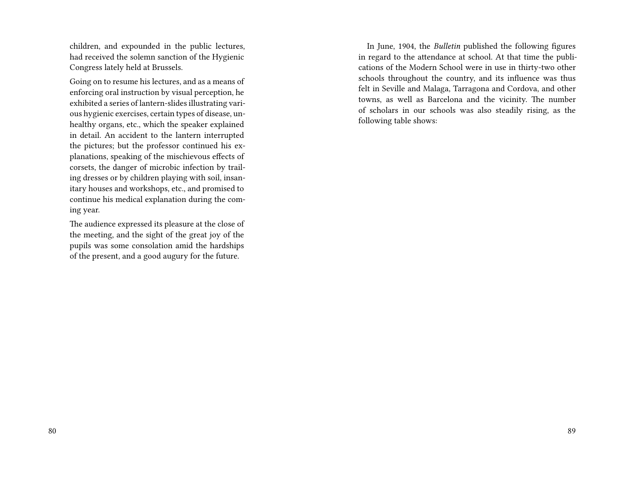children, and expounded in the public lectures, had received the solemn sanction of the Hygienic Congress lately held at Brussels.

Going on to resume his lectures, and as a means of enforcing oral instruction by visual perception, he exhibited a series of lantern-slides illustrating various hygienic exercises, certain types of disease, unhealthy organs, etc., which the speaker explained in detail. An accident to the lantern interrupted the pictures; but the professor continued his explanations, speaking of the mischievous effects of corsets, the danger of microbic infection by trailing dresses or by children playing with soil, insanitary houses and workshops, etc., and promised to continue his medical explanation during the coming year.

The audience expressed its pleasure at the close of the meeting, and the sight of the great joy of the pupils was some consolation amid the hardships of the present, and a good augury for the future.

In June, 1904, the *Bulletin* published the following figures in regard to the attendance at school. At that time the publications of the Modern School were in use in thirty-two other schools throughout the country, and its influence was thus felt in Seville and Malaga, Tarragona and Cordova, and other towns, as well as Barcelona and the vicinity. The number of scholars in our schools was also steadily rising, as the following table shows: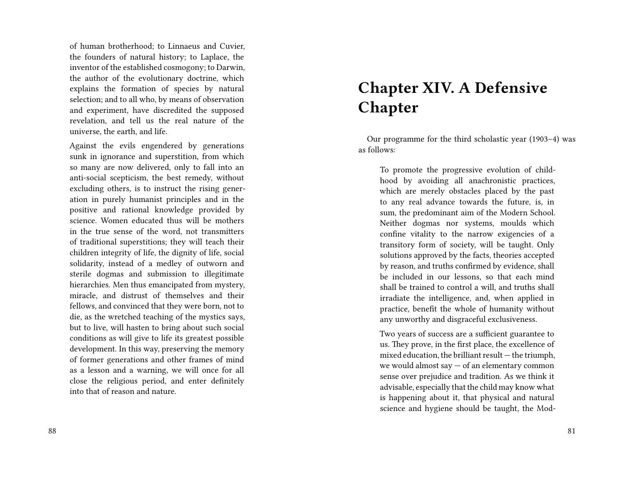of human brotherhood; to Linnaeus and Cuvier, the founders of natural history; to Laplace, the inventor of the established cosmogony; to Darwin, the author of the evolutionary doctrine, which explains the formation of species by natural selection; and to all who, by means of observation and experiment, have discredited the supposed revelation, and tell us the real nature of the universe, the earth, and life.

Against the evils engendered by generations sunk in ignorance and superstition, from which so many are now delivered, only to fall into an anti-social scepticism, the best remedy, without excluding others, is to instruct the rising generation in purely humanist principles and in the positive and rational knowledge provided by science. Women educated thus will be mothers in the true sense of the word, not transmitters of traditional superstitions; they will teach their children integrity of life, the dignity of life, social solidarity, instead of a medley of outworn and sterile dogmas and submission to illegitimate hierarchies. Men thus emancipated from mystery, miracle, and distrust of themselves and their fellows, and convinced that they were born, not to die, as the wretched teaching of the mystics says, but to live, will hasten to bring about such social conditions as will give to life its greatest possible development. In this way, preserving the memory of former generations and other frames of mind as a lesson and a warning, we will once for all close the religious period, and enter definitely into that of reason and nature.

# **Chapter XIV. A Defensive Chapter**

Our programme for the third scholastic year (1903–4) was as follows:

To promote the progressive evolution of childhood by avoiding all anachronistic practices, which are merely obstacles placed by the past to any real advance towards the future, is, in sum, the predominant aim of the Modern School. Neither dogmas nor systems, moulds which confine vitality to the narrow exigencies of a transitory form of society, will be taught. Only solutions approved by the facts, theories accepted by reason, and truths confirmed by evidence, shall be included in our lessons, so that each mind shall be trained to control a will, and truths shall irradiate the intelligence, and, when applied in practice, benefit the whole of humanity without any unworthy and disgraceful exclusiveness.

Two years of success are a sufficient guarantee to us. They prove, in the first place, the excellence of mixed education, the brilliant result — the triumph, we would almost say — of an elementary common sense over prejudice and tradition. As we think it advisable, especially that the child may know what is happening about it, that physical and natural science and hygiene should be taught, the Mod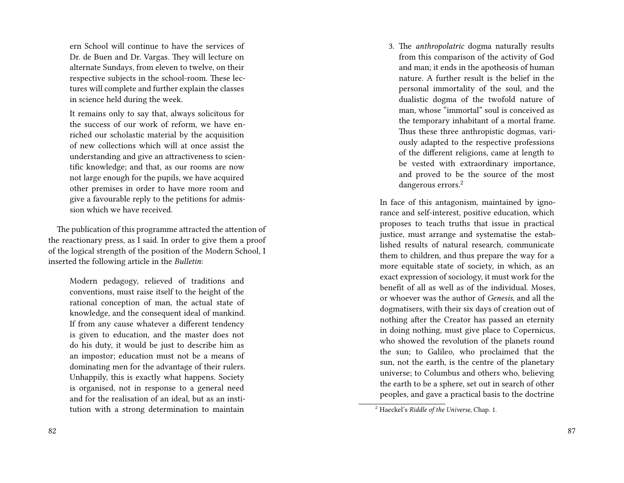ern School will continue to have the services of Dr. de Buen and Dr. Vargas. They will lecture on alternate Sundays, from eleven to twelve, on their respective subjects in the school-room. These lectures will complete and further explain the classes in science held during the week.

It remains only to say that, always solicitous for the success of our work of reform, we have enriched our scholastic material by the acquisition of new collections which will at once assist the understanding and give an attractiveness to scientific knowledge; and that, as our rooms are now not large enough for the pupils, we have acquired other premises in order to have more room and give a favourable reply to the petitions for admission which we have received.

The publication of this programme attracted the attention of the reactionary press, as I said. In order to give them a proof of the logical strength of the position of the Modern School, I inserted the following article in the *Bulletin*:

Modern pedagogy, relieved of traditions and conventions, must raise itself to the height of the rational conception of man, the actual state of knowledge, and the consequent ideal of mankind. If from any cause whatever a different tendency is given to education, and the master does not do his duty, it would be just to describe him as an impostor; education must not be a means of dominating men for the advantage of their rulers. Unhappily, this is exactly what happens. Society is organised, not in response to a general need and for the realisation of an ideal, but as an institution with a strong determination to maintain

3. The *anthropolatric* dogma naturally results from this comparison of the activity of God and man; it ends in the apotheosis of human nature. A further result is the belief in the personal immortality of the soul, and the dualistic dogma of the twofold nature of man, whose "immortal" soul is conceived as the temporary inhabitant of a mortal frame. Thus these three anthropistic dogmas, variously adapted to the respective professions of the different religions, came at length to be vested with extraordinary importance, and proved to be the source of the most dangerous errors.<sup>2</sup>

In face of this antagonism, maintained by ignorance and self-interest, positive education, which proposes to teach truths that issue in practical justice, must arrange and systematise the established results of natural research, communicate them to children, and thus prepare the way for a more equitable state of society, in which, as an exact expression of sociology, it must work for the benefit of all as well as of the individual. Moses, or whoever was the author of *Genesis*, and all the dogmatisers, with their six days of creation out of nothing after the Creator has passed an eternity in doing nothing, must give place to Copernicus, who showed the revolution of the planets round the sun; to Galileo, who proclaimed that the sun, not the earth, is the centre of the planetary universe; to Columbus and others who, believing the earth to be a sphere, set out in search of other peoples, and gave a practical basis to the doctrine

<sup>2</sup> Haeckel's *Riddle of the Universe*, Chap. 1.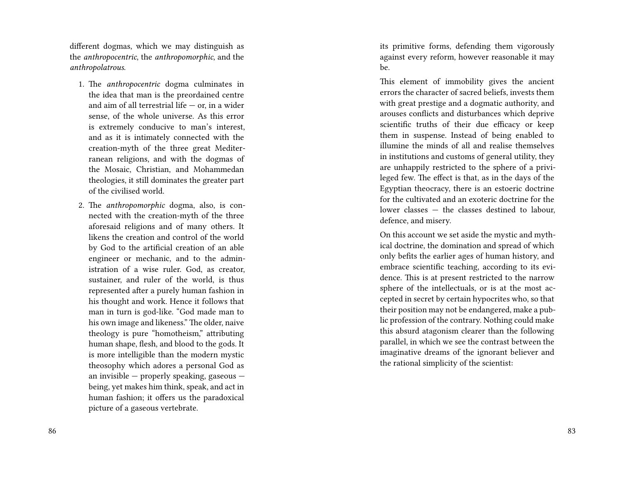different dogmas, which we may distinguish as the *anthropocentric*, the *anthropomorphic*, and the *anthropolatrous*.

- 1. The *anthropocentric* dogma culminates in the idea that man is the preordained centre and aim of all terrestrial life  $-$  or, in a wider sense, of the whole universe. As this error is extremely conducive to man's interest, and as it is intimately connected with the creation-myth of the three great Mediterranean religions, and with the dogmas of the Mosaic, Christian, and Mohammedan theologies, it still dominates the greater part of the civilised world.
- 2. The *anthropomorphic* dogma, also, is connected with the creation-myth of the three aforesaid religions and of many others. It likens the creation and control of the world by God to the artificial creation of an able engineer or mechanic, and to the administration of a wise ruler. God, as creator, sustainer, and ruler of the world, is thus represented after a purely human fashion in his thought and work. Hence it follows that man in turn is god-like. "God made man to his own image and likeness." The older, naive theology is pure "homotheism," attributing human shape, flesh, and blood to the gods. It is more intelligible than the modern mystic theosophy which adores a personal God as an invisible — properly speaking, gaseous being, yet makes him think, speak, and act in human fashion; it offers us the paradoxical picture of a gaseous vertebrate.

its primitive forms, defending them vigorously against every reform, however reasonable it may be.

This element of immobility gives the ancient errors the character of sacred beliefs, invests them with great prestige and a dogmatic authority, and arouses conflicts and disturbances which deprive scientific truths of their due efficacy or keep them in suspense. Instead of being enabled to illumine the minds of all and realise themselves in institutions and customs of general utility, they are unhappily restricted to the sphere of a privileged few. The effect is that, as in the days of the Egyptian theocracy, there is an estoeric doctrine for the cultivated and an exoteric doctrine for the lower classes — the classes destined to labour, defence, and misery.

On this account we set aside the mystic and mythical doctrine, the domination and spread of which only befits the earlier ages of human history, and embrace scientific teaching, according to its evidence. This is at present restricted to the narrow sphere of the intellectuals, or is at the most accepted in secret by certain hypocrites who, so that their position may not be endangered, make a public profession of the contrary. Nothing could make this absurd atagonism clearer than the following parallel, in which we see the contrast between the imaginative dreams of the ignorant believer and the rational simplicity of the scientist: